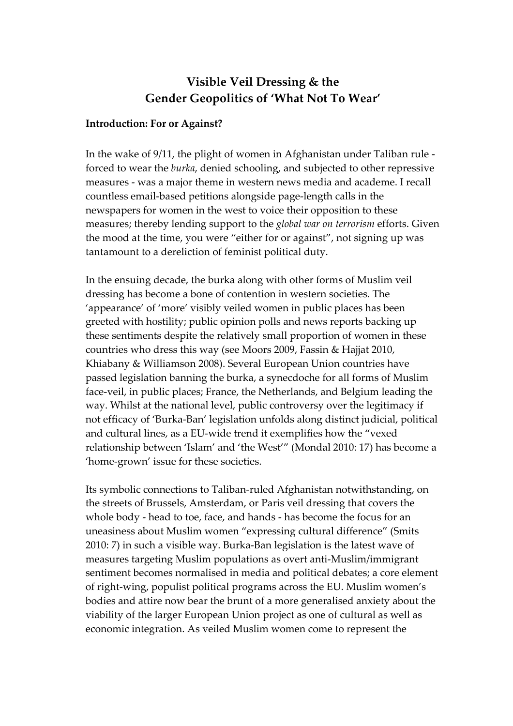# **Visible Veil Dressing & the Gender Geopolitics of 'What Not To Wear'**

# **Introduction: For or Against?**

In the wake of 9/11, the plight of women in Afghanistan under Taliban rule ‐ forced to wear the *burka*, denied schooling, and subjected to other repressive measures ‐ was a major theme in western news media and academe. I recall countless email‐based petitions alongside page‐length calls in the newspapers for women in the west to voice their opposition to these measures; thereby lending support to the *global war on terrorism* efforts. Given the mood at the time, you were "either for or against", not signing up was tantamount to a dereliction of feminist political duty.

In the ensuing decade, the burka along with other forms of Muslim veil dressing has become a bone of contention in western societies. The 'appearance' of 'more' visibly veiled women in public places has been greeted with hostility; public opinion polls and news reports backing up these sentiments despite the relatively small proportion of women in these countries who dress this way (see Moors 2009, Fassin & Hajjat 2010, Khiabany & Williamson 2008). Several European Union countries have passed legislation banning the burka, a synecdoche for all forms of Muslim face‐veil, in public places; France, the Netherlands, and Belgium leading the way. Whilst at the national level, public controversy over the legitimacy if not efficacy of 'Burka‐Ban' legislation unfolds along distinct judicial, political and cultural lines, as a EU‐wide trend it exemplifies how the "vexed relationship between 'Islam' and 'the West'" (Mondal 2010: 17) has become a 'home‐grown' issue for these societies.

Its symbolic connections to Taliban-ruled Afghanistan notwithstanding, on the streets of Brussels, Amsterdam, or Paris veil dressing that covers the whole body ‐ head to toe, face, and hands ‐ has become the focus for an uneasiness about Muslim women "expressing cultural difference" (Smits 2010: 7) in such a visible way. Burka‐Ban legislation is the latest wave of measures targeting Muslim populations as overt anti‐Muslim/immigrant sentiment becomes normalised in media and political debates; a core element of right‐wing, populist political programs across the EU. Muslim women's bodies and attire now bear the brunt of a more generalised anxiety about the viability of the larger European Union project as one of cultural as well as economic integration. As veiled Muslim women come to represent the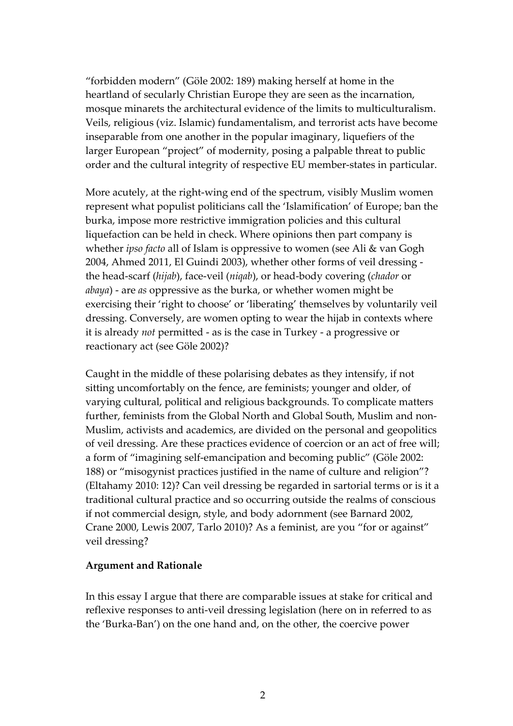"forbidden modern" (Göle 2002: 189) making herself at home in the heartland of secularly Christian Europe they are seen as the incarnation, mosque minarets the architectural evidence of the limits to multiculturalism. Veils, religious (viz. Islamic) fundamentalism, and terrorist acts have become inseparable from one another in the popular imaginary, liquefiers of the larger European "project" of modernity, posing a palpable threat to public order and the cultural integrity of respective EU member‐states in particular.

More acutely, at the right-wing end of the spectrum, visibly Muslim women represent what populist politicians call the 'Islamification' of Europe; ban the burka, impose more restrictive immigration policies and this cultural liquefaction can be held in check. Where opinions then part company is whether *ipso facto* all of Islam is oppressive to women (see Ali & van Gogh 2004, Ahmed 2011, El Guindi 2003), whether other forms of veil dressing ‐ the head‐scarf (*hijab*), face‐veil (*niqab*), or head‐body covering (*chador* or *abaya*) ‐ are *as* oppressive as the burka, or whether women might be exercising their 'right to choose' or 'liberating' themselves by voluntarily veil dressing. Conversely, are women opting to wear the hijab in contexts where it is already *not* permitted ‐ as is the case in Turkey ‐ a progressive or reactionary act (see Göle 2002)?

Caught in the middle of these polarising debates as they intensify, if not sitting uncomfortably on the fence, are feminists; younger and older, of varying cultural, political and religious backgrounds. To complicate matters further, feminists from the Global North and Global South, Muslim and non‐ Muslim, activists and academics, are divided on the personal and geopolitics of veil dressing. Are these practices evidence of coercion or an act of free will; a form of "imagining self‐emancipation and becoming public" (Göle 2002: 188) or "misogynist practices justified in the name of culture and religion"? (Eltahamy 2010: 12)? Can veil dressing be regarded in sartorial terms or is it a traditional cultural practice and so occurring outside the realms of conscious if not commercial design, style, and body adornment (see Barnard 2002, Crane 2000, Lewis 2007, Tarlo 2010)? As a feminist, are you "for or against" veil dressing?

# **Argument and Rationale**

In this essay I argue that there are comparable issues at stake for critical and reflexive responses to anti‐veil dressing legislation (here on in referred to as the 'Burka‐Ban') on the one hand and, on the other, the coercive power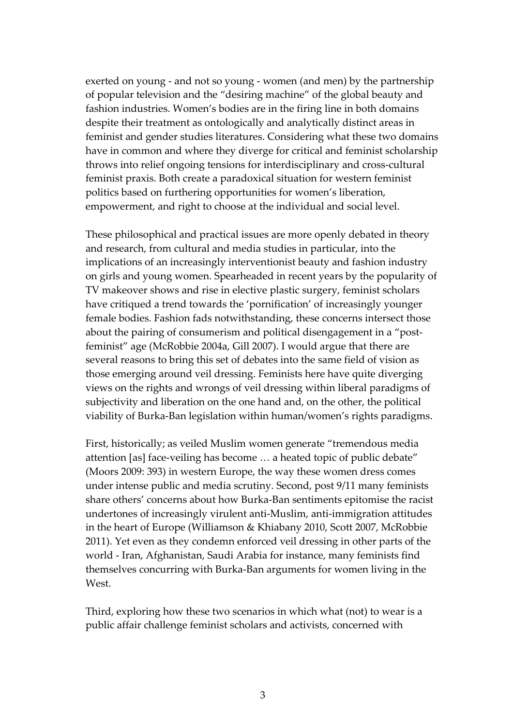exerted on young ‐ and not so young ‐ women (and men) by the partnership of popular television and the "desiring machine" of the global beauty and fashion industries. Women's bodies are in the firing line in both domains despite their treatment as ontologically and analytically distinct areas in feminist and gender studies literatures. Considering what these two domains have in common and where they diverge for critical and feminist scholarship throws into relief ongoing tensions for interdisciplinary and cross‐cultural feminist praxis. Both create a paradoxical situation for western feminist politics based on furthering opportunities for women's liberation, empowerment, and right to choose at the individual and social level.

These philosophical and practical issues are more openly debated in theory and research, from cultural and media studies in particular, into the implications of an increasingly interventionist beauty and fashion industry on girls and young women. Spearheaded in recent years by the popularity of TV makeover shows and rise in elective plastic surgery, feminist scholars have critiqued a trend towards the 'pornification' of increasingly younger female bodies. Fashion fads notwithstanding, these concerns intersect those about the pairing of consumerism and political disengagement in a "postfeminist" age (McRobbie 2004a, Gill 2007). I would argue that there are several reasons to bring this set of debates into the same field of vision as those emerging around veil dressing. Feminists here have quite diverging views on the rights and wrongs of veil dressing within liberal paradigms of subjectivity and liberation on the one hand and, on the other, the political viability of Burka‐Ban legislation within human/women's rights paradigms.

First, historically; as veiled Muslim women generate "tremendous media attention [as] face‐veiling has become … a heated topic of public debate" (Moors 2009: 393) in western Europe, the way these women dress comes under intense public and media scrutiny. Second, post 9/11 many feminists share others' concerns about how Burka‐Ban sentiments epitomise the racist undertones of increasingly virulent anti‐Muslim, anti‐immigration attitudes in the heart of Europe (Williamson & Khiabany 2010, Scott 2007, McRobbie 2011). Yet even as they condemn enforced veil dressing in other parts of the world ‐ Iran, Afghanistan, Saudi Arabia for instance, many feminists find themselves concurring with Burka‐Ban arguments for women living in the West.

Third, exploring how these two scenarios in which what (not) to wear is a public affair challenge feminist scholars and activists, concerned with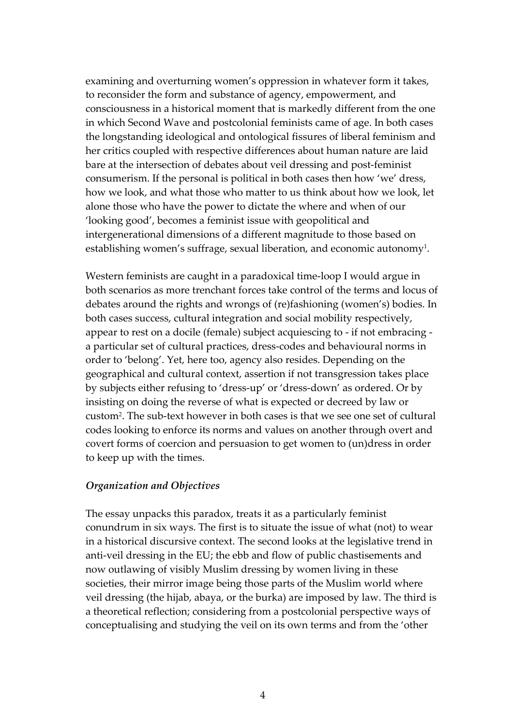examining and overturning women's oppression in whatever form it takes, to reconsider the form and substance of agency, empowerment, and consciousness in a historical moment that is markedly different from the one in which Second Wave and postcolonial feminists came of age. In both cases the longstanding ideological and ontological fissures of liberal feminism and her critics coupled with respective differences about human nature are laid bare at the intersection of debates about veil dressing and post‐feminist consumerism. If the personal is political in both cases then how 'we' dress, how we look, and what those who matter to us think about how we look, let alone those who have the power to dictate the where and when of our 'looking good', becomes a feminist issue with geopolitical and intergenerational dimensions of a different magnitude to those based on establishing women's suffrage, sexual liberation, and economic autonomy<sup>1</sup>.

Western feminists are caught in a paradoxical time‐loop I would argue in both scenarios as more trenchant forces take control of the terms and locus of debates around the rights and wrongs of (re)fashioning (women's) bodies. In both cases success, cultural integration and social mobility respectively, appear to rest on a docile (female) subject acquiescing to ‐ if not embracing ‐ a particular set of cultural practices, dress‐codes and behavioural norms in order to 'belong'. Yet, here too, agency also resides. Depending on the geographical and cultural context, assertion if not transgression takes place by subjects either refusing to 'dress‐up' or 'dress‐down' as ordered. Or by insisting on doing the reverse of what is expected or decreed by law or custom[2.](#page-32-1) The sub‐text however in both cases is that we see one set of cultural codes looking to enforce its norms and values on another through overt and covert forms of coercion and persuasion to get women to (un)dress in order to keep up with the times.

# *Organization and Objectives*

The essay unpacks this paradox, treats it as a particularly feminist conundrum in six ways. The first is to situate the issue of what (not) to wear in a historical discursive context. The second looks at the legislative trend in anti-veil dressing in the EU; the ebb and flow of public chastisements and now outlawing of visibly Muslim dressing by women living in these societies, their mirror image being those parts of the Muslim world where veil dressing (the hijab, abaya, or the burka) are imposed by law. The third is a theoretical reflection; considering from a postcolonial perspective ways of conceptualising and studying the veil on its own terms and from the 'other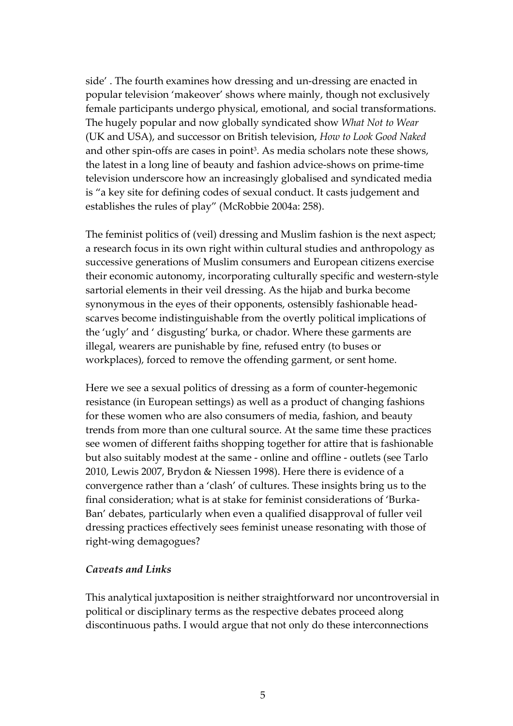side'. The fourth examines how dressing and un-dressing are enacted in popular television 'makeover' shows where mainly, though not exclusively female participants undergo physical, emotional, and social transformations. The hugely popular and now globally syndicated show *What Not to Wear* (UK and USA), and successor on British television, *How to Look Good Naked* and other spin-offs are cases in point<sup>3</sup>. As media scholars note these shows, the latest in a long line of beauty and fashion advice‐shows on prime‐time television underscore how an increasingly globalised and syndicated media is "a key site for defining codes of sexual conduct. It casts judgement and establishes the rules of play" (McRobbie 2004a: 258).

The feminist politics of (veil) dressing and Muslim fashion is the next aspect; a research focus in its own right within cultural studies and anthropology as successive generations of Muslim consumers and European citizens exercise their economic autonomy, incorporating culturally specific and western‐style sartorial elements in their veil dressing. As the hijab and burka become synonymous in the eyes of their opponents, ostensibly fashionable head‐ scarves become indistinguishable from the overtly political implications of the 'ugly' and ' disgusting' burka, or chador. Where these garments are illegal, wearers are punishable by fine, refused entry (to buses or workplaces), forced to remove the offending garment, or sent home.

Here we see a sexual politics of dressing as a form of counter-hegemonic resistance (in European settings) as well as a product of changing fashions for these women who are also consumers of media, fashion, and beauty trends from more than one cultural source. At the same time these practices see women of different faiths shopping together for attire that is fashionable but also suitably modest at the same ‐ online and offline ‐ outlets (see Tarlo 2010, Lewis 2007, Brydon & Niessen 1998). Here there is evidence of a convergence rather than a 'clash' of cultures. These insights bring us to the final consideration; what is at stake for feminist considerations of 'Burka‐ Ban' debates, particularly when even a qualified disapproval of fuller veil dressing practices effectively sees feminist unease resonating with those of right‐wing demagogues?

# *Caveats and Links*

This analytical juxtaposition is neither straightforward nor uncontroversial in political or disciplinary terms as the respective debates proceed along discontinuous paths. I would argue that not only do these interconnections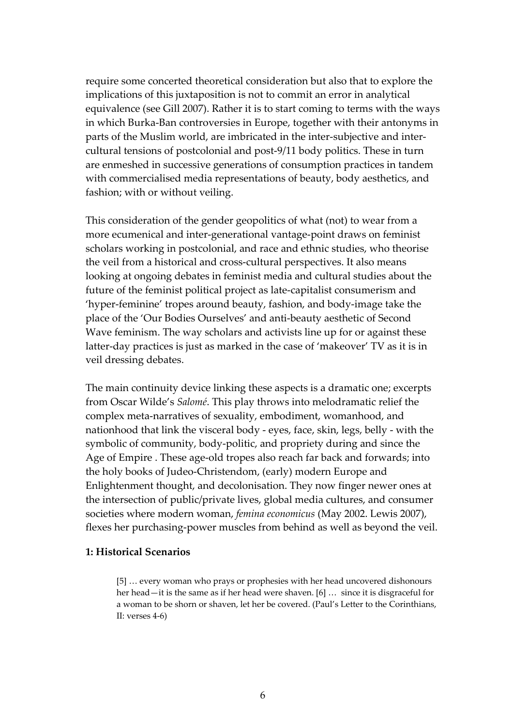require some concerted theoretical consideration but also that to explore the implications of this juxtaposition is not to commit an error in analytical equivalence (see Gill 2007). Rather it is to start coming to terms with the ways in which Burka‐Ban controversies in Europe, together with their antonyms in parts of the Muslim world, are imbricated in the inter-subjective and intercultural tensions of postcolonial and post‐9/11 body politics. These in turn are enmeshed in successive generations of consumption practices in tandem with commercialised media representations of beauty, body aesthetics, and fashion; with or without veiling.

This consideration of the gender geopolitics of what (not) to wear from a more ecumenical and inter‐generational vantage‐point draws on feminist scholars working in postcolonial, and race and ethnic studies, who theorise the veil from a historical and cross-cultural perspectives. It also means looking at ongoing debates in feminist media and cultural studies about the future of the feminist political project as late‐capitalist consumerism and 'hyper‐feminine' tropes around beauty, fashion, and body‐image take the place of the 'Our Bodies Ourselves' and anti‐beauty aesthetic of Second Wave feminism. The way scholars and activists line up for or against these latter-day practices is just as marked in the case of 'makeover' TV as it is in veil dressing debates.

The main continuity device linking these aspects is a dramatic one; excerpts from Oscar Wilde's *Salomé*. This play throws into melodramatic relief the complex meta‐narratives of sexuality, embodiment, womanhood, and nationhood that link the visceral body ‐ eyes, face, skin, legs, belly ‐ with the symbolic of community, body-politic, and propriety during and since the Age of Empire . These age-old tropes also reach far back and forwards; into the holy books of Judeo‐Christendom, (early) modern Europe and Enlightenment thought, and decolonisation. They now finger newer ones at the intersection of public/private lives, global media cultures, and consumer societies where modern woman, *femina economicus* (May 2002. Lewis 2007), flexes her purchasing‐power muscles from behind as well as beyond the veil.

#### **1: Historical Scenarios**

[5] … every woman who prays or prophesies with her head uncovered dishonours her head—it is the same as if her head were shaven. [6] ... since it is disgraceful for a woman to be shorn or shaven, let her be covered. (Paul's Letter to the Corinthians, II: verses 4‐6)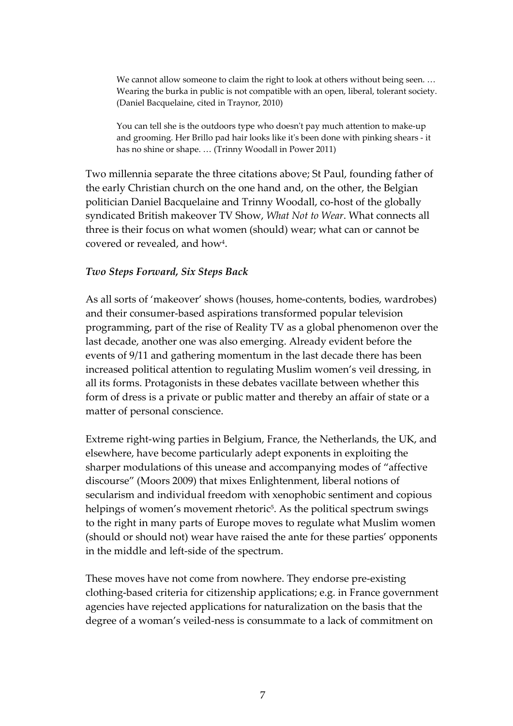We cannot allow someone to claim the right to look at others without being seen. ... Wearing the burka in public is not compatible with an open, liberal, tolerant society. (Daniel Bacquelaine, cited in Traynor, 2010)

You can tell she is the outdoors type who doesn't pay much attention to make-up and grooming. Her Brillo pad hair looks like itʹs been done with pinking shears ‐ it has no shine or shape. … (Trinny Woodall in Power 2011)

Two millennia separate the three citations above; St Paul, founding father of the early Christian church on the one hand and, on the other, the Belgian politician Daniel Bacquelaine and Trinny Woodall, co-host of the globally syndicated British makeover TV Show, *What Not to Wear*. What connects all three is their focus on what women (should) wear; what can or cannot be covered or revealed, and ho[w4.](#page-32-3)

# *Two Steps Forward, Six Steps Back*

As all sorts of 'makeover' shows (houses, home‐contents, bodies, wardrobes) and their consumer-based aspirations transformed popular television programming, part of the rise of Reality TV as a global phenomenon over the last decade, another one was also emerging. Already evident before the events of 9/11 and gathering momentum in the last decade there has been increased political attention to regulating Muslim women's veil dressing, in all its forms. Protagonists in these debates vacillate between whether this form of dress is a private or public matter and thereby an affair of state or a matter of personal conscience.

Extreme right‐wing parties in Belgium, France, the Netherlands, the UK, and elsewhere, have become particularly adept exponents in exploiting the sharper modulations of this unease and accompanying modes of "affective discourse" (Moors 2009) that mixes Enlightenment, liberal notions of secularism and individual freedom with xenophobic sentiment and copious helpings of women's movement rhetoric<sup>5</sup>. As the political spectrum swings to the right in many parts of Europe moves to regulate what Muslim women (should or should not) wear have raised the ante for these parties' opponents in the middle and left‐side of the spectrum.

These moves have not come from nowhere. They endorse pre‐existing clothing‐based criteria for citizenship applications; e.g. in France government agencies have rejected applications for naturalization on the basis that the degree of a woman's veiled‐ness is consummate to a lack of commitment on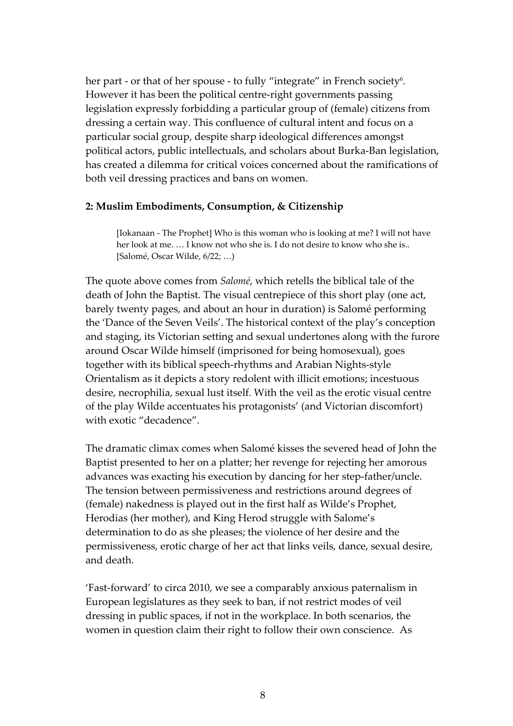her part - or that of her spouse - to fully "integrate" in French society<sup>6</sup>. However it has been the political centre‐right governments passing legislation expressly forbidding a particular group of (female) citizens from dressing a certain way. This confluence of cultural intent and focus on a particular social group, despite sharp ideological differences amongst political actors, public intellectuals, and scholars about Burka‐Ban legislation, has created a dilemma for critical voices concerned about the ramifications of both veil dressing practices and bans on women.

# **2: Muslim Embodiments, Consumption, & Citizenship**

[Iokanaan ‐ The Prophet] Who is this woman who is looking at me? I will not have her look at me. … I know not who she is. I do not desire to know who she is.. [Salomé, Oscar Wilde, 6/22; …)

The quote above comes from *Salomé*, which retells the biblical tale of the death of John the Baptist. The visual centrepiece of this short play (one act, barely twenty pages, and about an hour in duration) is Salomé performing the 'Dance of the Seven Veils'. The historical context of the play's conception and staging, its Victorian setting and sexual undertones along with the furore around Oscar Wilde himself (imprisoned for being homosexual), goes together with its biblical speech‐rhythms and Arabian Nights‐style Orientalism as it depicts a story redolent with illicit emotions; incestuous desire, necrophilia, sexual lust itself. With the veil as the erotic visual centre of the play Wilde accentuates his protagonists' (and Victorian discomfort) with exotic "decadence".

The dramatic climax comes when Salomé kisses the severed head of John the Baptist presented to her on a platter; her revenge for rejecting her amorous advances was exacting his execution by dancing for her step‐father/uncle. The tension between permissiveness and restrictions around degrees of (female) nakedness is played out in the first half as Wilde's Prophet, Herodias (her mother), and King Herod struggle with Salome's determination to do as she pleases; the violence of her desire and the permissiveness, erotic charge of her act that links veils, dance, sexual desire, and death.

'Fast‐forward' to circa 2010, we see a comparably anxious paternalism in European legislatures as they seek to ban, if not restrict modes of veil dressing in public spaces, if not in the workplace. In both scenarios, the women in question claim their right to follow their own conscience. As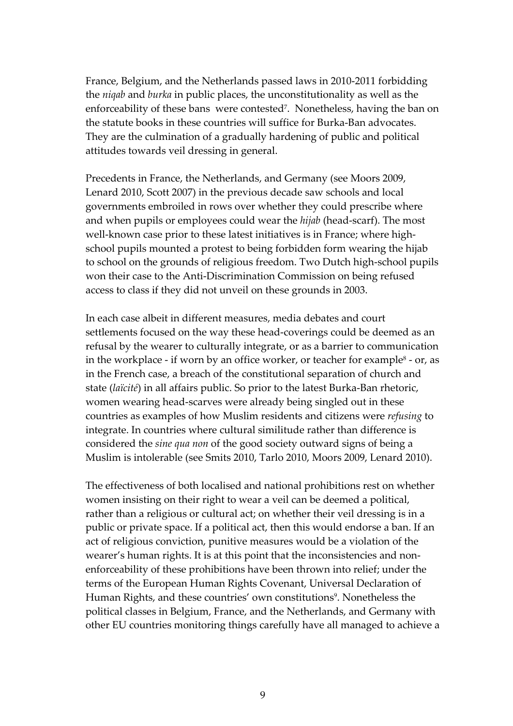France, Belgium, and the Netherlands passed laws in 2010‐2011 forbidding the *niqab* and *burka* in public places, the unconstitutionality as well as the enforceability of these bans were contested<sup>7</sup>. Nonetheless, having the ban on the statute books in these countries will suffice for Burka‐Ban advocates. They are the culmination of a gradually hardening of public and political attitudes towards veil dressing in general.

Precedents in France, the Netherlands, and Germany (see Moors 2009, Lenard 2010, Scott 2007) in the previous decade saw schools and local governments embroiled in rows over whether they could prescribe where and when pupils or employees could wear the *hijab* (head‐scarf). The most well-known case prior to these latest initiatives is in France; where highschool pupils mounted a protest to being forbidden form wearing the hijab to school on the grounds of religious freedom. Two Dutch high‐school pupils won their case to the Anti‐Discrimination Commission on being refused access to class if they did not unveil on these grounds in 2003.

In each case albeit in different measures, media debates and court settlements focused on the way these head‐coverings could be deemed as an refusal by the wearer to culturally integrate, or as a barrier to communication in the workplace - if worn by an office worker, or teacher for example<sup>[8](#page-32-7)</sup> - or, as in the French case, a breach of the constitutional separation of church and state (*laïcité*) in all affairs public. So prior to the latest Burka‐Ban rhetoric, women wearing head‐scarves were already being singled out in these countries as examples of how Muslim residents and citizens were *refusing* to integrate. In countries where cultural similitude rather than difference is considered the *sine qua non* of the good society outward signs of being a Muslim is intolerable (see Smits 2010, Tarlo 2010, Moors 2009, Lenard 2010).

The effectiveness of both localised and national prohibitions rest on whether women insisting on their right to wear a veil can be deemed a political, rather than a religious or cultural act; on whether their veil dressing is in a public or private space. If a political act, then this would endorse a ban. If an act of religious conviction, punitive measures would be a violation of the wearer's human rights. It is at this point that the inconsistencies and nonenforceability of these prohibitions have been thrown into relief; under the terms of the European Human Rights Covenant, Universal Declaration of Human Rights, and these countries' own constitutions<sup>9</sup>. Nonetheless the political classes in Belgium, France, and the Netherlands, and Germany with other EU countries monitoring things carefully have all managed to achieve a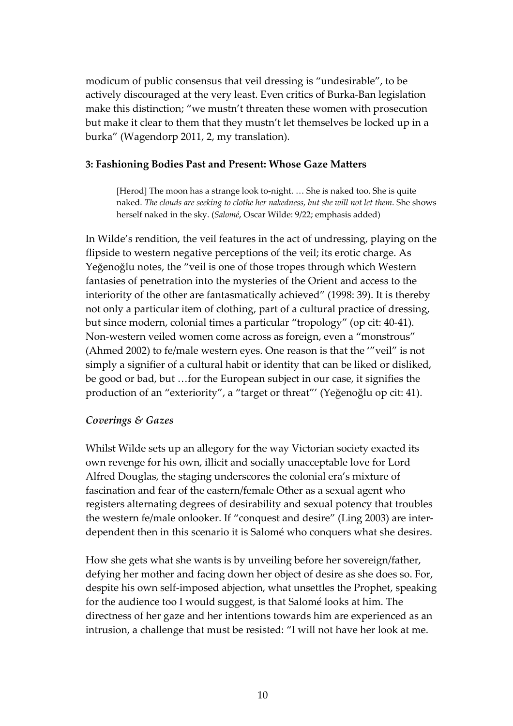modicum of public consensus that veil dressing is "undesirable", to be actively discouraged at the very least. Even critics of Burka‐Ban legislation make this distinction; "we mustn't threaten these women with prosecution but make it clear to them that they mustn't let themselves be locked up in a burka" (Wagendorp 2011, 2, my translation).

# **3: Fashioning Bodies Past and Present: Whose Gaze Matters**

[Herod] The moon has a strange look to-night. ... She is naked too. She is quite naked. *The clouds are seeking to clothe her nakedness, but she will not let them*. She shows herself naked in the sky. (*Salomé*, Oscar Wilde: 9/22; emphasis added)

In Wilde's rendition, the veil features in the act of undressing, playing on the flipside to western negative perceptions of the veil; its erotic charge. As Yeğenoğlu notes, the "veil is one of those tropes through which Western fantasies of penetration into the mysteries of the Orient and access to the interiority of the other are fantasmatically achieved" (1998: 39). It is thereby not only a particular item of clothing, part of a cultural practice of dressing, but since modern, colonial times a particular "tropology" (op cit: 40‐41). Non‐western veiled women come across as foreign, even a "monstrous" (Ahmed 2002) to fe/male western eyes. One reason is that the '"veil" is not simply a signifier of a cultural habit or identity that can be liked or disliked, be good or bad, but …for the European subject in our case, it signifies the production of an "exteriority", a "target or threat"' (Yeğenoğlu op cit: 41).

# *Coverings & Gazes*

Whilst Wilde sets up an allegory for the way Victorian society exacted its own revenge for his own, illicit and socially unacceptable love for Lord Alfred Douglas, the staging underscores the colonial era's mixture of fascination and fear of the eastern/female Other as a sexual agent who registers alternating degrees of desirability and sexual potency that troubles the western fe/male onlooker. If "conquest and desire" (Ling 2003) are inter‐ dependent then in this scenario it is Salomé who conquers what she desires.

How she gets what she wants is by unveiling before her sovereign/father, defying her mother and facing down her object of desire as she does so. For, despite his own self‐imposed abjection, what unsettles the Prophet, speaking for the audience too I would suggest, is that Salomé looks at him. The directness of her gaze and her intentions towards him are experienced as an intrusion, a challenge that must be resisted: "I will not have her look at me.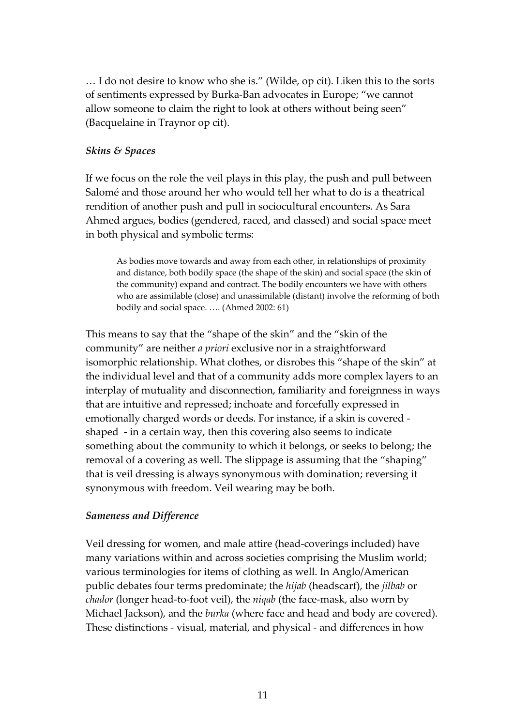… I do not desire to know who she is." (Wilde, op cit). Liken this to the sorts of sentiments expressed by Burka‐Ban advocates in Europe; "we cannot allow someone to claim the right to look at others without being seen" (Bacquelaine in Traynor op cit).

# *Skins & Spaces*

If we focus on the role the veil plays in this play, the push and pull between Salomé and those around her who would tell her what to do is a theatrical rendition of another push and pull in sociocultural encounters. As Sara Ahmed argues, bodies (gendered, raced, and classed) and social space meet in both physical and symbolic terms:

As bodies move towards and away from each other, in relationships of proximity and distance, both bodily space (the shape of the skin) and social space (the skin of the community) expand and contract. The bodily encounters we have with others who are assimilable (close) and unassimilable (distant) involve the reforming of both bodily and social space. …. (Ahmed 2002: 61)

This means to say that the "shape of the skin" and the "skin of the community" are neither *a priori* exclusive nor in a straightforward isomorphic relationship. What clothes, or disrobes this "shape of the skin" at the individual level and that of a community adds more complex layers to an interplay of mutuality and disconnection, familiarity and foreignness in ways that are intuitive and repressed; inchoate and forcefully expressed in emotionally charged words or deeds. For instance, if a skin is covered ‐ shaped - in a certain way, then this covering also seems to indicate something about the community to which it belongs, or seeks to belong; the removal of a covering as well. The slippage is assuming that the "shaping" that is veil dressing is always synonymous with domination; reversing it synonymous with freedom. Veil wearing may be both.

# *Sameness and Difference*

Veil dressing for women, and male attire (head‐coverings included) have many variations within and across societies comprising the Muslim world; various terminologies for items of clothing as well. In Anglo/American public debates four terms predominate; the *hijab* (headscarf), the *jilbab* or *chador* (longer head‐to‐foot veil), the *niqab* (the face‐mask, also worn by Michael Jackson), and the *burka* (where face and head and body are covered). These distinctions ‐ visual, material, and physical ‐ and differences in how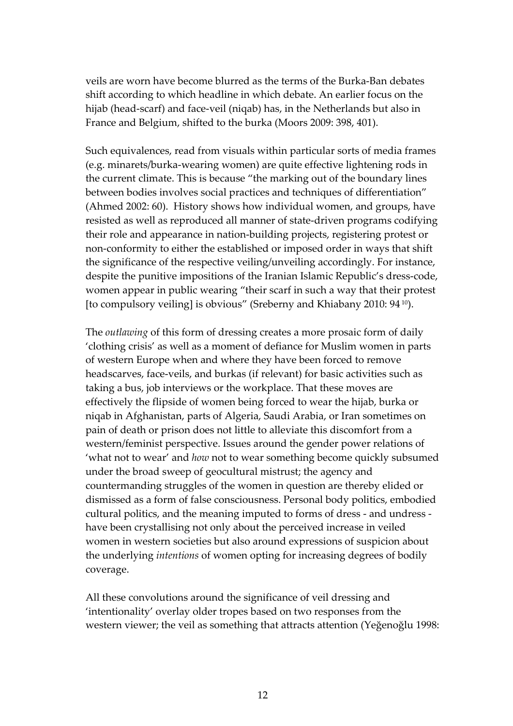veils are worn have become blurred as the terms of the Burka‐Ban debates shift according to which headline in which debate. An earlier focus on the hijab (head‐scarf) and face‐veil (niqab) has, in the Netherlands but also in France and Belgium, shifted to the burka (Moors 2009: 398, 401).

Such equivalences, read from visuals within particular sorts of media frames (e.g. minarets/burka‐wearing women) are quite effective lightening rods in the current climate. This is because "the marking out of the boundary lines between bodies involves social practices and techniques of differentiation" (Ahmed 2002: 60). History shows how individual women, and groups, have resisted as well as reproduced all manner of state‐driven programs codifying their role and appearance in nation‐building projects, registering protest or non‐conformity to either the established or imposed order in ways that shift the significance of the respective veiling/unveiling accordingly. For instance, despite the punitive impositions of the Iranian Islamic Republic's dress‐code, women appear in public wearing "their scarf in such a way that their protest [to compulsory veiling] is obvious" (Sreberny and Khiabany 2010: 94 [10\)](#page-32-9).

The *outlawing* of this form of dressing creates a more prosaic form of daily 'clothing crisis' as well as a moment of defiance for Muslim women in parts of western Europe when and where they have been forced to remove headscarves, face-veils, and burkas (if relevant) for basic activities such as taking a bus, job interviews or the workplace. That these moves are effectively the flipside of women being forced to wear the hijab, burka or niqab in Afghanistan, parts of Algeria, Saudi Arabia, or Iran sometimes on pain of death or prison does not little to alleviate this discomfort from a western/feminist perspective. Issues around the gender power relations of 'what not to wear' and *how* not to wear something become quickly subsumed under the broad sweep of geocultural mistrust; the agency and countermanding struggles of the women in question are thereby elided or dismissed as a form of false consciousness. Personal body politics, embodied cultural politics, and the meaning imputed to forms of dress ‐ and undress ‐ have been crystallising not only about the perceived increase in veiled women in western societies but also around expressions of suspicion about the underlying *intentions* of women opting for increasing degrees of bodily coverage.

All these convolutions around the significance of veil dressing and 'intentionality' overlay older tropes based on two responses from the western viewer; the veil as something that attracts attention (Yeğenoğlu 1998: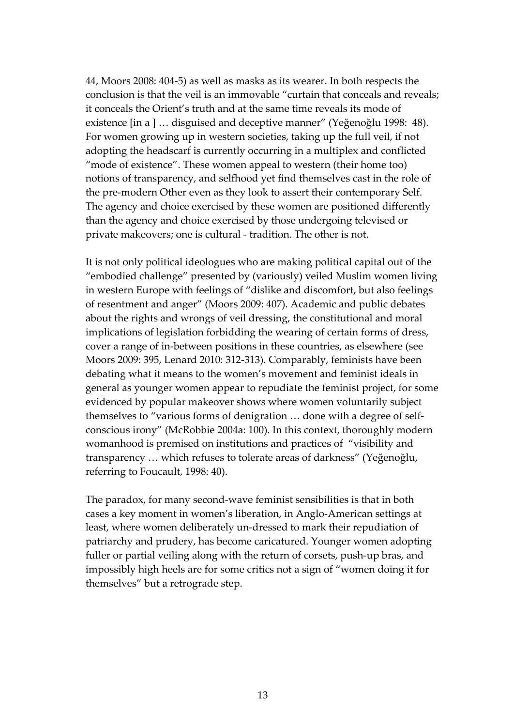44, Moors 2008: 404‐5) as well as masks as its wearer. In both respects the conclusion is that the veil is an immovable "curtain that conceals and reveals; it conceals the Orient's truth and at the same time reveals its mode of existence [in a ] … disguised and deceptive manner" (Yeğenoğlu 1998: 48). For women growing up in western societies, taking up the full veil, if not adopting the headscarf is currently occurring in a multiplex and conflicted "mode of existence". These women appeal to western (their home too) notions of transparency, and selfhood yet find themselves cast in the role of the pre‐modern Other even as they look to assert their contemporary Self. The agency and choice exercised by these women are positioned differently than the agency and choice exercised by those undergoing televised or private makeovers; one is cultural ‐ tradition. The other is not.

It is not only political ideologues who are making political capital out of the "embodied challenge" presented by (variously) veiled Muslim women living in western Europe with feelings of "dislike and discomfort, but also feelings of resentment and anger" (Moors 2009: 407). Academic and public debates about the rights and wrongs of veil dressing, the constitutional and moral implications of legislation forbidding the wearing of certain forms of dress, cover a range of in‐between positions in these countries, as elsewhere (see Moors 2009: 395, Lenard 2010: 312‐313). Comparably, feminists have been debating what it means to the women's movement and feminist ideals in general as younger women appear to repudiate the feminist project, for some evidenced by popular makeover shows where women voluntarily subject themselves to "various forms of denigration … done with a degree of self‐ conscious irony" (McRobbie 2004a: 100). In this context, thoroughly modern womanhood is premised on institutions and practices of "visibility and transparency … which refuses to tolerate areas of darkness" (Yeğenoğlu, referring to Foucault, 1998: 40).

The paradox, for many second‐wave feminist sensibilities is that in both cases a key moment in women's liberation, in Anglo‐American settings at least, where women deliberately un‐dressed to mark their repudiation of patriarchy and prudery, has become caricatured. Younger women adopting fuller or partial veiling along with the return of corsets, push-up bras, and impossibly high heels are for some critics not a sign of "women doing it for themselves" but a retrograde step.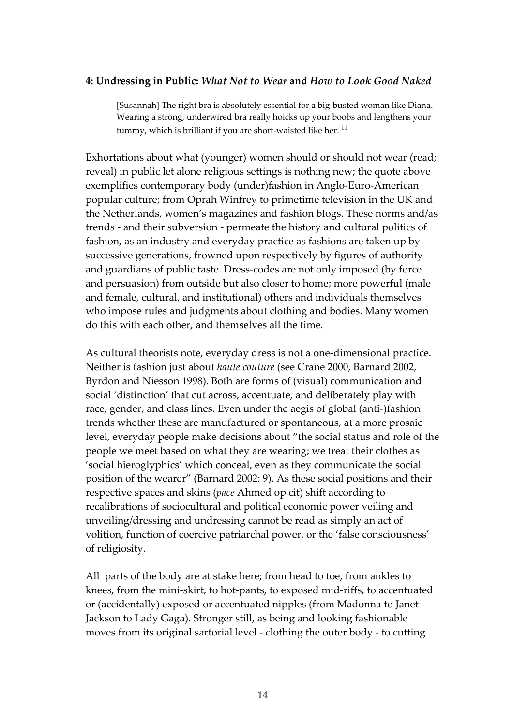# **4: Undressing in Public:** *What Not to Wear* **and** *How to Look Good Naked*

[Susannah] The right bra is absolutely essential for a big‐busted woman like Diana. Wearing a strong, underwired bra really hoicks up your boobs and lengthens your tummy, which is brilliant if you are short-waisted like her.  $11$ 

Exhortations about what (younger) women should or should not wear (read; reveal) in public let alone religious settings is nothing new; the quote above exemplifies contemporary body (under)fashion in Anglo‐Euro‐American popular culture; from Oprah Winfrey to primetime television in the UK and the Netherlands, women's magazines and fashion blogs. These norms and/as trends ‐ and their subversion ‐ permeate the history and cultural politics of fashion, as an industry and everyday practice as fashions are taken up by successive generations, frowned upon respectively by figures of authority and guardians of public taste. Dress‐codes are not only imposed (by force and persuasion) from outside but also closer to home; more powerful (male and female, cultural, and institutional) others and individuals themselves who impose rules and judgments about clothing and bodies. Many women do this with each other, and themselves all the time.

As cultural theorists note, everyday dress is not a one-dimensional practice. Neither is fashion just about *haute couture* (see Crane 2000, Barnard 2002, Byrdon and Niesson 1998). Both are forms of (visual) communication and social 'distinction' that cut across, accentuate, and deliberately play with race, gender, and class lines. Even under the aegis of global (anti‐)fashion trends whether these are manufactured or spontaneous, at a more prosaic level, everyday people make decisions about "the social status and role of the people we meet based on what they are wearing; we treat their clothes as 'social hieroglyphics' which conceal, even as they communicate the social position of the wearer" (Barnard 2002: 9). As these social positions and their respective spaces and skins (*pace* Ahmed op cit) shift according to recalibrations of sociocultural and political economic power veiling and unveiling/dressing and undressing cannot be read as simply an act of volition, function of coercive patriarchal power, or the 'false consciousness' of religiosity.

All parts of the body are at stake here; from head to toe, from ankles to knees, from the mini‐skirt, to hot‐pants, to exposed mid‐riffs, to accentuated or (accidentally) exposed or accentuated nipples (from Madonna to Janet Jackson to Lady Gaga). Stronger still, as being and looking fashionable moves from its original sartorial level ‐ clothing the outer body ‐ to cutting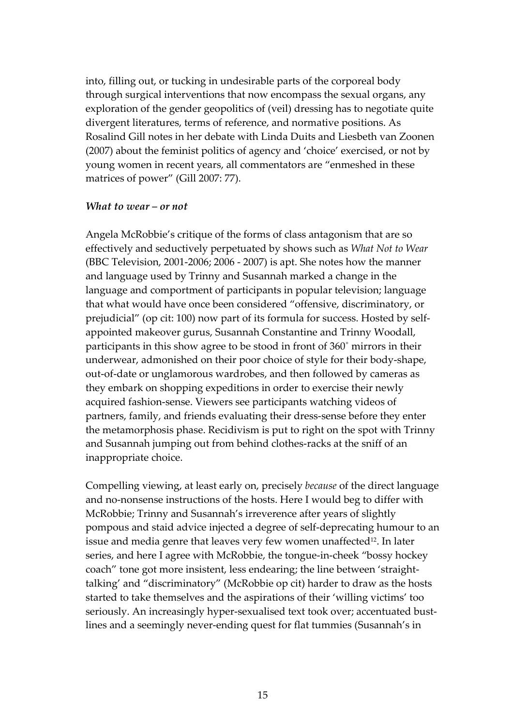into, filling out, or tucking in undesirable parts of the corporeal body through surgical interventions that now encompass the sexual organs, any exploration of the gender geopolitics of (veil) dressing has to negotiate quite divergent literatures, terms of reference, and normative positions. As Rosalind Gill notes in her debate with Linda Duits and Liesbeth van Zoonen (2007) about the feminist politics of agency and 'choice' exercised, or not by young women in recent years, all commentators are "enmeshed in these matrices of power" (Gill 2007: 77).

#### *What to wear – or not*

Angela McRobbie's critique of the forms of class antagonism that are so effectively and seductively perpetuated by shows such as *What Not to Wear* (BBC Television, 2001‐2006; 2006 ‐ 2007) is apt. She notes how the manner and language used by Trinny and Susannah marked a change in the language and comportment of participants in popular television; language that what would have once been considered "offensive, discriminatory, or prejudicial" (op cit: 100) now part of its formula for success. Hosted by self‐ appointed makeover gurus, Susannah Constantine and Trinny Woodall, participants in this show agree to be stood in front of 360˚ mirrors in their underwear, admonished on their poor choice of style for their body‐shape, out‐of‐date or unglamorous wardrobes, and then followed by cameras as they embark on shopping expeditions in order to exercise their newly acquired fashion‐sense. Viewers see participants watching videos of partners, family, and friends evaluating their dress‐sense before they enter the metamorphosis phase. Recidivism is put to right on the spot with Trinny and Susannah jumping out from behind clothes‐racks at the sniff of an inappropriate choice.

Compelling viewing, at least early on, precisely *because* of the direct language and no‐nonsense instructions of the hosts. Here I would beg to differ with McRobbie; Trinny and Susannah's irreverence after years of slightly pompous and staid advice injected a degree of self‐deprecating humour to an issue and media genre that leaves very few women unaffected<sup>12</sup>. In later series, and here I agree with McRobbie, the tongue-in-cheek "bossy hockey coach" tone got more insistent, less endearing; the line between 'straight‐ talking' and "discriminatory" (McRobbie op cit) harder to draw as the hosts started to take themselves and the aspirations of their 'willing victims' too seriously. An increasingly hyper-sexualised text took over; accentuated bustlines and a seemingly never‐ending quest for flat tummies (Susannah's in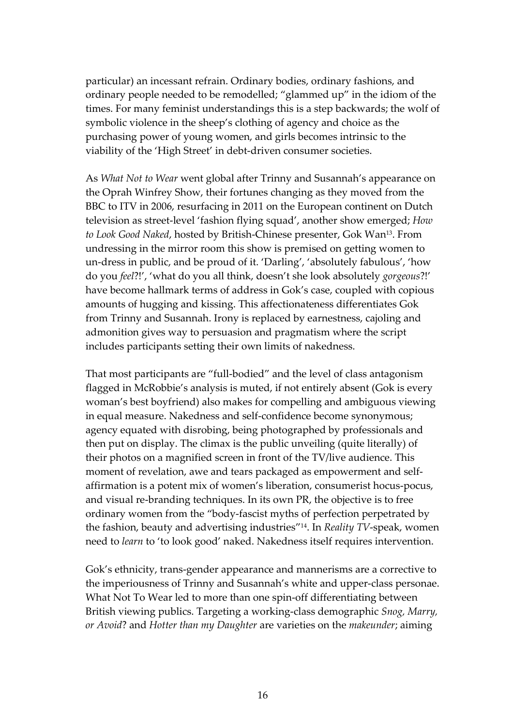particular) an incessant refrain. Ordinary bodies, ordinary fashions, and ordinary people needed to be remodelled; "glammed up" in the idiom of the times. For many feminist understandings this is a step backwards; the wolf of symbolic violence in the sheep's clothing of agency and choice as the purchasing power of young women, and girls becomes intrinsic to the viability of the 'High Street' in debt-driven consumer societies.

As *What Not to Wear* went global after Trinny and Susannah's appearance on the Oprah Winfrey Show, their fortunes changing as they moved from the BBC to ITV in 2006, resurfacing in 2011 on the European continent on Dutch television as street‐level 'fashion flying squad', another show emerged; *How to Look Good Naked*, hosted by British‐Chinese presenter, Gok Wan[13.](#page-32-12) From undressing in the mirror room this show is premised on getting women to un‐dress in public, and be proud of it. 'Darling', 'absolutely fabulous', 'how do you *feel*?!', 'what do you all think, doesn't she look absolutely *gorgeous*?!' have become hallmark terms of address in Gok's case, coupled with copious amounts of hugging and kissing. This affectionateness differentiates Gok from Trinny and Susannah. Irony is replaced by earnestness, cajoling and admonition gives way to persuasion and pragmatism where the script includes participants setting their own limits of nakedness.

That most participants are "full-bodied" and the level of class antagonism flagged in McRobbie's analysis is muted, if not entirely absent (Gok is every woman's best boyfriend) also makes for compelling and ambiguous viewing in equal measure. Nakedness and self‐confidence become synonymous; agency equated with disrobing, being photographed by professionals and then put on display. The climax is the public unveiling (quite literally) of their photos on a magnified screen in front of the TV/live audience. This moment of revelation, awe and tears packaged as empowerment and self‐ affirmation is a potent mix of women's liberation, consumerist hocus‐pocus, and visual re‐branding techniques. In its own PR, the objective is to free ordinary women from the "body‐fascist myths of perfection perpetrated by the fashion, beauty and advertising industries["14.](#page-32-13) In *Reality TV*‐speak, women need to *learn* to 'to look good' naked. Nakedness itself requires intervention.

Gok's ethnicity, trans‐gender appearance and mannerisms are a corrective to the imperiousness of Trinny and Susannah's white and upper‐class personae. What Not To Wear led to more than one spin‐off differentiating between British viewing publics. Targeting a working‐class demographic *Snog, Marry, or Avoid*? and *Hotter than my Daughter* are varieties on the *makeunder*; aiming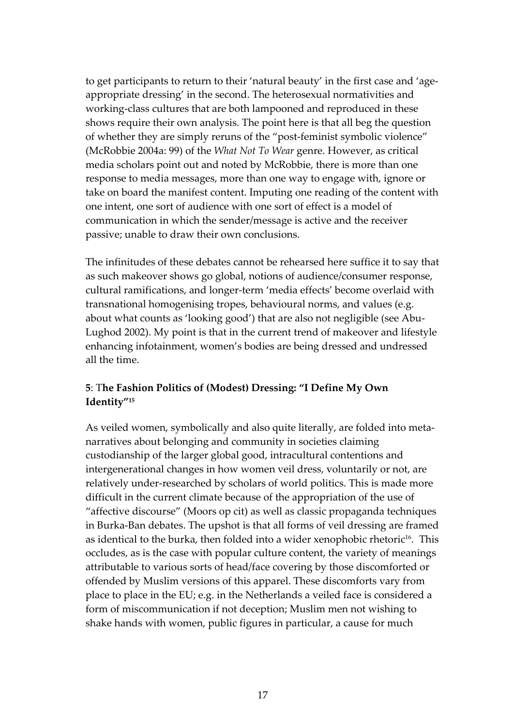to get participants to return to their 'natural beauty' in the first case and 'ageappropriate dressing' in the second. The heterosexual normativities and working-class cultures that are both lampooned and reproduced in these shows require their own analysis. The point here is that all beg the question of whether they are simply reruns of the "post‐feminist symbolic violence" (McRobbie 2004a: 99) of the *What Not To Wear* genre. However, as critical media scholars point out and noted by McRobbie, there is more than one response to media messages, more than one way to engage with, ignore or take on board the manifest content. Imputing one reading of the content with one intent, one sort of audience with one sort of effect is a model of communication in which the sender/message is active and the receiver passive; unable to draw their own conclusions.

The infinitudes of these debates cannot be rehearsed here suffice it to say that as such makeover shows go global, notions of audience/consumer response, cultural ramifications, and longer‐term 'media effects' become overlaid with transnational homogenising tropes, behavioural norms, and values (e.g. about what counts as 'looking good') that are also not negligible (see Abu‐ Lughod 2002). My point is that in the current trend of makeover and lifestyle enhancing infotainment, women's bodies are being dressed and undressed all the time.

# **5**: T**he Fashion Politics of (Modest) Dressing: "I Define My Own Identity["15](#page-32-14)**

As veiled women, symbolically and also quite literally, are folded into meta‐ narratives about belonging and community in societies claiming custodianship of the larger global good, intracultural contentions and intergenerational changes in how women veil dress, voluntarily or not, are relatively under‐researched by scholars of world politics. This is made more difficult in the current climate because of the appropriation of the use of "affective discourse" (Moors op cit) as well as classic propaganda techniques in Burka‐Ban debates. The upshot is that all forms of veil dressing are framed as identical to the burka, then folded into a wider xenophobic rhetoric<sup>16</sup>. This occludes, as is the case with popular culture content, the variety of meanings attributable to various sorts of head/face covering by those discomforted or offended by Muslim versions of this apparel. These discomforts vary from place to place in the EU; e.g. in the Netherlands a veiled face is considered a form of miscommunication if not deception; Muslim men not wishing to shake hands with women, public figures in particular, a cause for much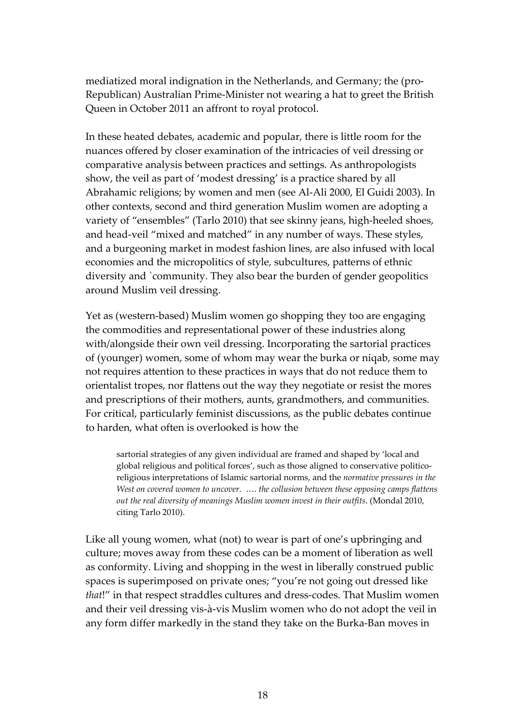mediatized moral indignation in the Netherlands, and Germany; the (pro-Republican) Australian Prime‐Minister not wearing a hat to greet the British Queen in October 2011 an affront to royal protocol.

In these heated debates, academic and popular, there is little room for the nuances offered by closer examination of the intricacies of veil dressing or comparative analysis between practices and settings. As anthropologists show, the veil as part of 'modest dressing' is a practice shared by all Abrahamic religions; by women and men (see Al‐Ali 2000, El Guidi 2003). In other contexts, second and third generation Muslim women are adopting a variety of "ensembles" (Tarlo 2010) that see skinny jeans, high‐heeled shoes, and head‐veil "mixed and matched" in any number of ways. These styles, and a burgeoning market in modest fashion lines, are also infused with local economies and the micropolitics of style, subcultures, patterns of ethnic diversity and `community. They also bear the burden of gender geopolitics around Muslim veil dressing.

Yet as (western‐based) Muslim women go shopping they too are engaging the commodities and representational power of these industries along with/alongside their own veil dressing. Incorporating the sartorial practices of (younger) women, some of whom may wear the burka or niqab, some may not requires attention to these practices in ways that do not reduce them to orientalist tropes, nor flattens out the way they negotiate or resist the mores and prescriptions of their mothers, aunts, grandmothers, and communities. For critical, particularly feminist discussions, as the public debates continue to harden, what often is overlooked is how the

sartorial strategies of any given individual are framed and shaped by 'local and global religious and political forces', such as those aligned to conservative politicoreligious interpretations of Islamic sartorial norms, and the *normative pressures in the West on covered women to uncover*. …. *the collusion between these opposing camps flattens out the real diversity of meanings Muslim women invest in their outfits*. (Mondal 2010, citing Tarlo 2010).

Like all young women, what (not) to wear is part of one's upbringing and culture; moves away from these codes can be a moment of liberation as well as conformity. Living and shopping in the west in liberally construed public spaces is superimposed on private ones; "you're not going out dressed like *that*!" in that respect straddles cultures and dress‐codes. That Muslim women and their veil dressing vis‐à‐vis Muslim women who do not adopt the veil in any form differ markedly in the stand they take on the Burka‐Ban moves in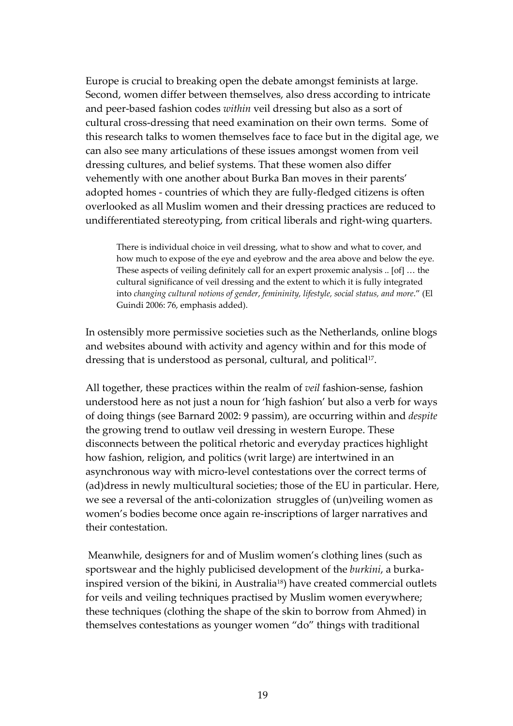Europe is crucial to breaking open the debate amongst feminists at large. Second, women differ between themselves, also dress according to intricate and peer‐based fashion codes *within* veil dressing but also as a sort of cultural cross-dressing that need examination on their own terms. Some of this research talks to women themselves face to face but in the digital age, we can also see many articulations of these issues amongst women from veil dressing cultures, and belief systems. That these women also differ vehemently with one another about Burka Ban moves in their parents' adopted homes ‐ countries of which they are fully‐fledged citizens is often overlooked as all Muslim women and their dressing practices are reduced to undifferentiated stereotyping, from critical liberals and right‐wing quarters.

There is individual choice in veil dressing, what to show and what to cover, and how much to expose of the eye and eyebrow and the area above and below the eye. These aspects of veiling definitely call for an expert proxemic analysis .. [of] … the cultural significance of veil dressing and the extent to which it is fully integrated into *changing cultural notions of gender*, *femininity, lifestyle, social status, and more*." (El Guindi 2006: 76, emphasis added).

In ostensibly more permissive societies such as the Netherlands, online blogs and websites abound with activity and agency within and for this mode of dressing that is understood as personal, cultural, and political<sup>17</sup>.

All together, these practices within the realm of *veil* fashion‐sense, fashion understood here as not just a noun for 'high fashion' but also a verb for ways of doing things (see Barnard 2002: 9 passim), are occurring within and *despite* the growing trend to outlaw veil dressing in western Europe. These disconnects between the political rhetoric and everyday practices highlight how fashion, religion, and politics (writ large) are intertwined in an asynchronous way with micro‐level contestations over the correct terms of (ad)dress in newly multicultural societies; those of the EU in particular. Here, we see a reversal of the anti-colonization struggles of (un)veiling women as women's bodies become once again re‐inscriptions of larger narratives and their contestation.

Meanwhile, designers for and of Muslim women's clothing lines (such as sportswear and the highly publicised development of the *burkini*, a burka‐ inspired version of the bikini, in Australia<sup>18</sup>) have created commercial outlets for veils and veiling techniques practised by Muslim women everywhere; these techniques (clothing the shape of the skin to borrow from Ahmed) in themselves contestations as younger women "do" things with traditional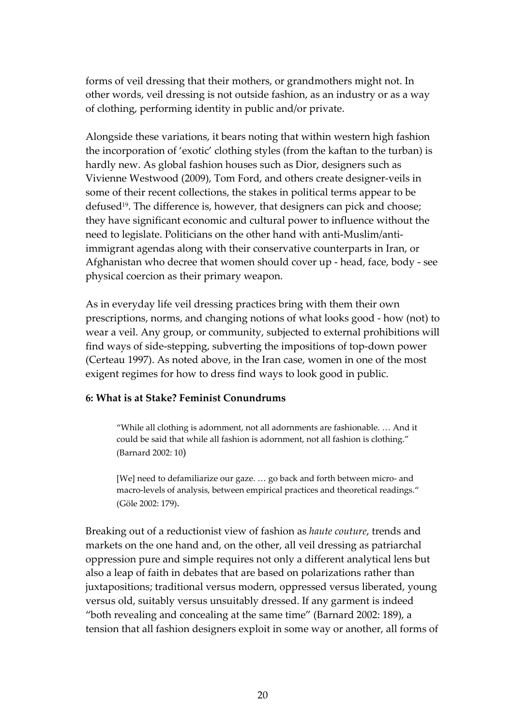forms of veil dressing that their mothers, or grandmothers might not. In other words, veil dressing is not outside fashion, as an industry or as a way of clothing, performing identity in public and/or private.

Alongside these variations, it bears noting that within western high fashion the incorporation of 'exotic' clothing styles (from the kaftan to the turban) is hardly new. As global fashion houses such as Dior, designers such as Vivienne Westwood (2009), Tom Ford, and others create designer‐veils in some of their recent collections, the stakes in political terms appear to be defused<sup>19</sup>. The difference is, however, that designers can pick and choose; they have significant economic and cultural power to influence without the need to legislate. Politicians on the other hand with anti‐Muslim/anti‐ immigrant agendas along with their conservative counterparts in Iran, or Afghanistan who decree that women should cover up ‐ head, face, body ‐ see physical coercion as their primary weapon.

As in everyday life veil dressing practices bring with them their own prescriptions, norms, and changing notions of what looks good ‐ how (not) to wear a veil. Any group, or community, subjected to external prohibitions will find ways of side‐stepping, subverting the impositions of top‐down power (Certeau 1997). As noted above, in the Iran case, women in one of the most exigent regimes for how to dress find ways to look good in public.

# **6: What is at Stake? Feminist Conundrums**

"While all clothing is adornment, not all adornments are fashionable. … And it could be said that while all fashion is adornment, not all fashion is clothing." (Barnard 2002: 10)

[We] need to defamiliarize our gaze. … go back and forth between micro‐ and macro-levels of analysis, between empirical practices and theoretical readings." (Göle 2002: 179).

Breaking out of a reductionist view of fashion as *haute couture*, trends and markets on the one hand and, on the other, all veil dressing as patriarchal oppression pure and simple requires not only a different analytical lens but also a leap of faith in debates that are based on polarizations rather than juxtapositions; traditional versus modern, oppressed versus liberated, young versus old, suitably versus unsuitably dressed. If any garment is indeed "both revealing and concealing at the same time" (Barnard 2002: 189), a tension that all fashion designers exploit in some way or another, all forms of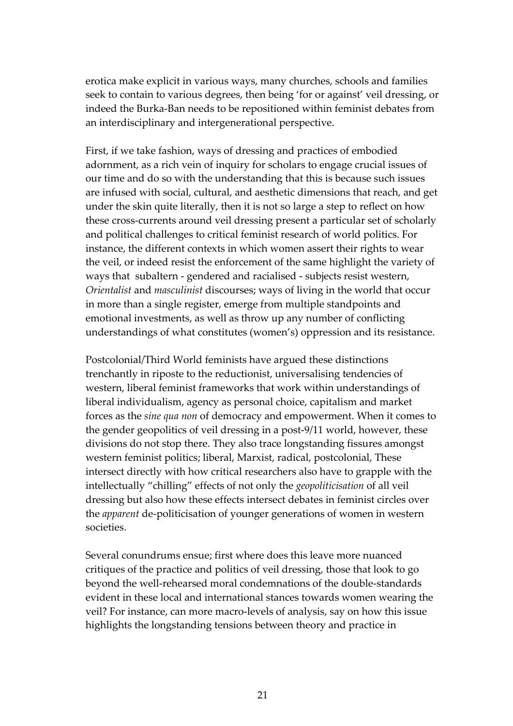erotica make explicit in various ways, many churches, schools and families seek to contain to various degrees, then being 'for or against' veil dressing, or indeed the Burka‐Ban needs to be repositioned within feminist debates from an interdisciplinary and intergenerational perspective.

First, if we take fashion, ways of dressing and practices of embodied adornment, as a rich vein of inquiry for scholars to engage crucial issues of our time and do so with the understanding that this is because such issues are infused with social, cultural, and aesthetic dimensions that reach, and get under the skin quite literally, then it is not so large a step to reflect on how these cross‐currents around veil dressing present a particular set of scholarly and political challenges to critical feminist research of world politics. For instance, the different contexts in which women assert their rights to wear the veil, or indeed resist the enforcement of the same highlight the variety of ways that subaltern ‐ gendered and racialised ‐ subjects resist western, *Orientalist* and *masculinist* discourses; ways of living in the world that occur in more than a single register, emerge from multiple standpoints and emotional investments, as well as throw up any number of conflicting understandings of what constitutes (women's) oppression and its resistance.

Postcolonial/Third World feminists have argued these distinctions trenchantly in riposte to the reductionist, universalising tendencies of western, liberal feminist frameworks that work within understandings of liberal individualism, agency as personal choice, capitalism and market forces as the *sine qua non* of democracy and empowerment. When it comes to the gender geopolitics of veil dressing in a post‐9/11 world, however, these divisions do not stop there. They also trace longstanding fissures amongst western feminist politics; liberal, Marxist, radical, postcolonial, These intersect directly with how critical researchers also have to grapple with the intellectually "chilling" effects of not only the *geopoliticisation* of all veil dressing but also how these effects intersect debates in feminist circles over the *apparent* de‐politicisation of younger generations of women in western societies.

Several conundrums ensue; first where does this leave more nuanced critiques of the practice and politics of veil dressing, those that look to go beyond the well‐rehearsed moral condemnations of the double‐standards evident in these local and international stances towards women wearing the veil? For instance, can more macro‐levels of analysis, say on how this issue highlights the longstanding tensions between theory and practice in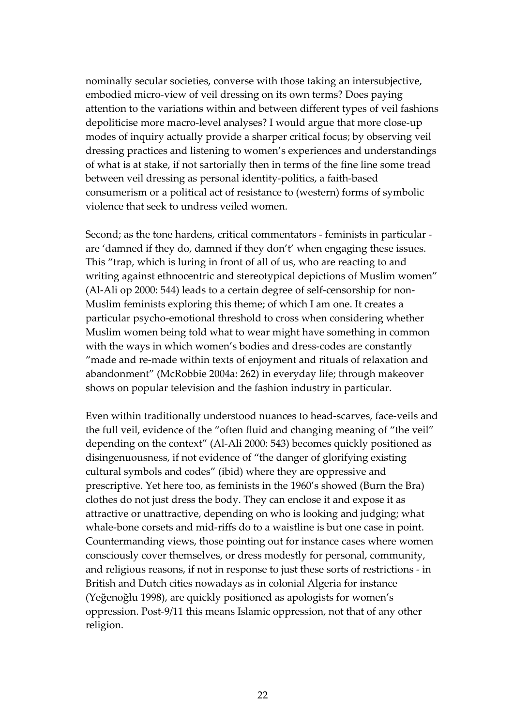nominally secular societies, converse with those taking an intersubjective, embodied micro-view of veil dressing on its own terms? Does paying attention to the variations within and between different types of veil fashions depoliticise more macro‐level analyses? I would argue that more close‐up modes of inquiry actually provide a sharper critical focus; by observing veil dressing practices and listening to women's experiences and understandings of what is at stake, if not sartorially then in terms of the fine line some tread between veil dressing as personal identity‐politics, a faith‐based consumerism or a political act of resistance to (western) forms of symbolic violence that seek to undress veiled women.

Second; as the tone hardens, critical commentators ‐ feminists in particular ‐ are 'damned if they do, damned if they don't' when engaging these issues. This "trap, which is luring in front of all of us, who are reacting to and writing against ethnocentric and stereotypical depictions of Muslim women" (Al‐Ali op 2000: 544) leads to a certain degree of self‐censorship for non‐ Muslim feminists exploring this theme; of which I am one. It creates a particular psycho‐emotional threshold to cross when considering whether Muslim women being told what to wear might have something in common with the ways in which women's bodies and dress-codes are constantly "made and re‐made within texts of enjoyment and rituals of relaxation and abandonment" (McRobbie 2004a: 262) in everyday life; through makeover shows on popular television and the fashion industry in particular.

Even within traditionally understood nuances to head‐scarves, face‐veils and the full veil, evidence of the "often fluid and changing meaning of "the veil" depending on the context" (Al‐Ali 2000: 543) becomes quickly positioned as disingenuousness, if not evidence of "the danger of glorifying existing cultural symbols and codes" (ibid) where they are oppressive and prescriptive. Yet here too, as feminists in the 1960's showed (Burn the Bra) clothes do not just dress the body. They can enclose it and expose it as attractive or unattractive, depending on who is looking and judging; what whale-bone corsets and mid-riffs do to a waistline is but one case in point. Countermanding views, those pointing out for instance cases where women consciously cover themselves, or dress modestly for personal, community, and religious reasons, if not in response to just these sorts of restrictions ‐ in British and Dutch cities nowadays as in colonial Algeria for instance (Yeğenoğlu 1998), are quickly positioned as apologists for women's oppression. Post‐9/11 this means Islamic oppression, not that of any other religion.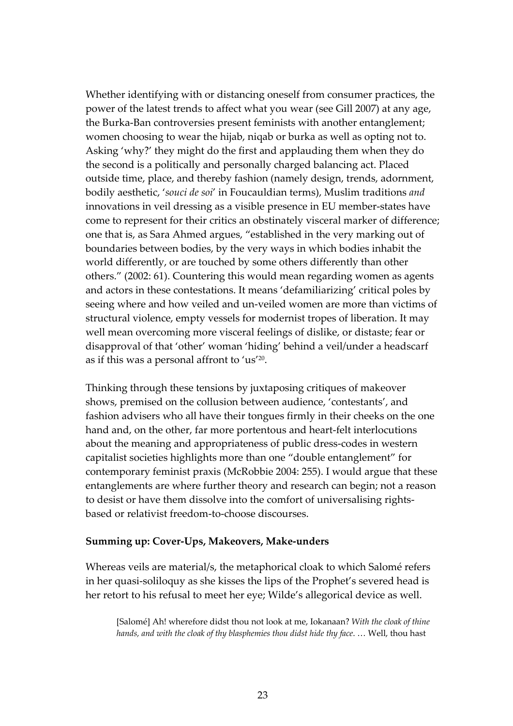Whether identifying with or distancing oneself from consumer practices, the power of the latest trends to affect what you wear (see Gill 2007) at any age, the Burka‐Ban controversies present feminists with another entanglement; women choosing to wear the hijab, niqab or burka as well as opting not to. Asking 'why?' they might do the first and applauding them when they do the second is a politically and personally charged balancing act. Placed outside time, place, and thereby fashion (namely design, trends, adornment, bodily aesthetic, '*souci de soi*' in Foucauldian terms), Muslim traditions *and* innovations in veil dressing as a visible presence in EU member‐states have come to represent for their critics an obstinately visceral marker of difference; one that is, as Sara Ahmed argues, "established in the very marking out of boundaries between bodies, by the very ways in which bodies inhabit the world differently, or are touched by some others differently than other others." (2002: 61). Countering this would mean regarding women as agents and actors in these contestations. It means 'defamiliarizing' critical poles by seeing where and how veiled and un-veiled women are more than victims of structural violence, empty vessels for modernist tropes of liberation. It may well mean overcoming more visceral feelings of dislike, or distaste; fear or disapproval of that 'other' woman 'hiding' behind a veil/under a headscarf as if this was a personal affront to 'us'[20.](#page-32-19)

Thinking through these tensions by juxtaposing critiques of makeover shows, premised on the collusion between audience, 'contestants', and fashion advisers who all have their tongues firmly in their cheeks on the one hand and, on the other, far more portentous and heart-felt interlocutions about the meaning and appropriateness of public dress‐codes in western capitalist societies highlights more than one "double entanglement" for contemporary feminist praxis (McRobbie 2004: 255). I would argue that these entanglements are where further theory and research can begin; not a reason to desist or have them dissolve into the comfort of universalising rights‐ based or relativist freedom‐to‐choose discourses.

#### **Summing up: Cover‐Ups, Makeovers, Make‐unders**

Whereas veils are material/s, the metaphorical cloak to which Salomé refers in her quasi‐soliloquy as she kisses the lips of the Prophet's severed head is her retort to his refusal to meet her eye; Wilde's allegorical device as well.

[Salomé] Ah! wherefore didst thou not look at me, Iokanaan? *With the cloak of thine hands, and with the cloak of thy blasphemies thou didst hide thy face*. … Well, thou hast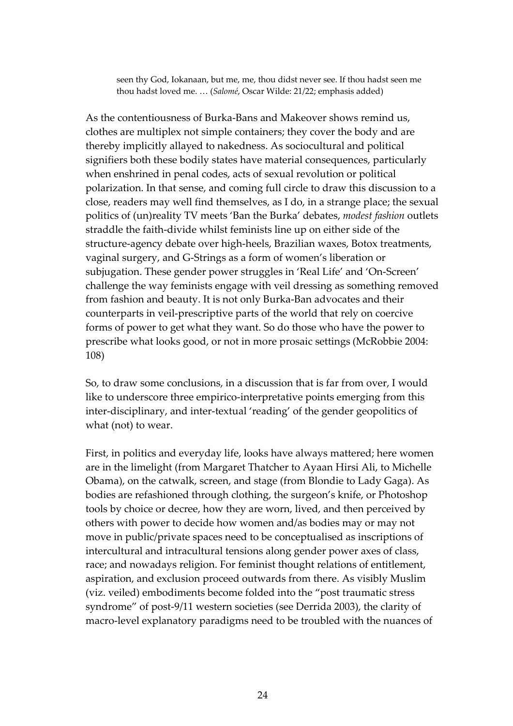seen thy God, Iokanaan, but me, me, thou didst never see. If thou hadst seen me thou hadst loved me. … (*Salomé*, Oscar Wilde: 21/22; emphasis added)

As the contentiousness of Burka‐Bans and Makeover shows remind us, clothes are multiplex not simple containers; they cover the body and are thereby implicitly allayed to nakedness. As sociocultural and political signifiers both these bodily states have material consequences, particularly when enshrined in penal codes, acts of sexual revolution or political polarization. In that sense, and coming full circle to draw this discussion to a close, readers may well find themselves, as I do, in a strange place; the sexual politics of (un)reality TV meets 'Ban the Burka' debates, *modest fashion* outlets straddle the faith‐divide whilst feminists line up on either side of the structure‐agency debate over high‐heels, Brazilian waxes, Botox treatments, vaginal surgery, and G‐Strings as a form of women's liberation or subjugation. These gender power struggles in 'Real Life' and 'On‐Screen' challenge the way feminists engage with veil dressing as something removed from fashion and beauty. It is not only Burka‐Ban advocates and their counterparts in veil‐prescriptive parts of the world that rely on coercive forms of power to get what they want. So do those who have the power to prescribe what looks good, or not in more prosaic settings (McRobbie 2004: 108)

So, to draw some conclusions, in a discussion that is far from over, I would like to underscore three empirico‐interpretative points emerging from this inter-disciplinary, and inter-textual 'reading' of the gender geopolitics of what (not) to wear.

First, in politics and everyday life, looks have always mattered; here women are in the limelight (from Margaret Thatcher to Ayaan Hirsi Ali, to Michelle Obama), on the catwalk, screen, and stage (from Blondie to Lady Gaga). As bodies are refashioned through clothing, the surgeon's knife, or Photoshop tools by choice or decree, how they are worn, lived, and then perceived by others with power to decide how women and/as bodies may or may not move in public/private spaces need to be conceptualised as inscriptions of intercultural and intracultural tensions along gender power axes of class, race; and nowadays religion. For feminist thought relations of entitlement, aspiration, and exclusion proceed outwards from there. As visibly Muslim (viz. veiled) embodiments become folded into the "post traumatic stress syndrome" of post-9/11 western societies (see Derrida 2003), the clarity of macro‐level explanatory paradigms need to be troubled with the nuances of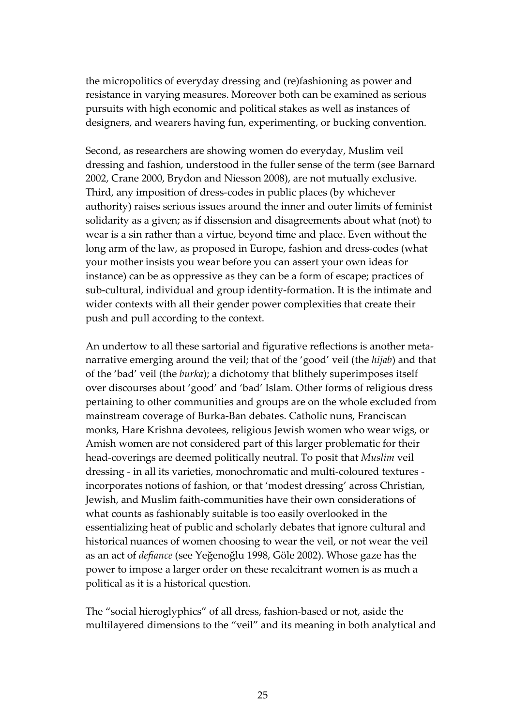the micropolitics of everyday dressing and (re)fashioning as power and resistance in varying measures. Moreover both can be examined as serious pursuits with high economic and political stakes as well as instances of designers, and wearers having fun, experimenting, or bucking convention.

Second, as researchers are showing women do everyday, Muslim veil dressing and fashion, understood in the fuller sense of the term (see Barnard 2002, Crane 2000, Brydon and Niesson 2008), are not mutually exclusive. Third, any imposition of dress‐codes in public places (by whichever authority) raises serious issues around the inner and outer limits of feminist solidarity as a given; as if dissension and disagreements about what (not) to wear is a sin rather than a virtue, beyond time and place. Even without the long arm of the law, as proposed in Europe, fashion and dress-codes (what your mother insists you wear before you can assert your own ideas for instance) can be as oppressive as they can be a form of escape; practices of sub-cultural, individual and group identity-formation. It is the intimate and wider contexts with all their gender power complexities that create their push and pull according to the context.

An undertow to all these sartorial and figurative reflections is another meta‐ narrative emerging around the veil; that of the 'good' veil (the *hijab*) and that of the 'bad' veil (the *burka*); a dichotomy that blithely superimposes itself over discourses about 'good' and 'bad' Islam. Other forms of religious dress pertaining to other communities and groups are on the whole excluded from mainstream coverage of Burka‐Ban debates. Catholic nuns, Franciscan monks, Hare Krishna devotees, religious Jewish women who wear wigs, or Amish women are not considered part of this larger problematic for their head‐coverings are deemed politically neutral. To posit that *Muslim* veil dressing ‐ in all its varieties, monochromatic and multi‐coloured textures ‐ incorporates notions of fashion, or that 'modest dressing' across Christian, Jewish, and Muslim faith‐communities have their own considerations of what counts as fashionably suitable is too easily overlooked in the essentializing heat of public and scholarly debates that ignore cultural and historical nuances of women choosing to wear the veil, or not wear the veil as an act of *defiance* (see Yeğenoğlu 1998, Göle 2002). Whose gaze has the power to impose a larger order on these recalcitrant women is as much a political as it is a historical question.

The "social hieroglyphics" of all dress, fashion‐based or not, aside the multilayered dimensions to the "veil" and its meaning in both analytical and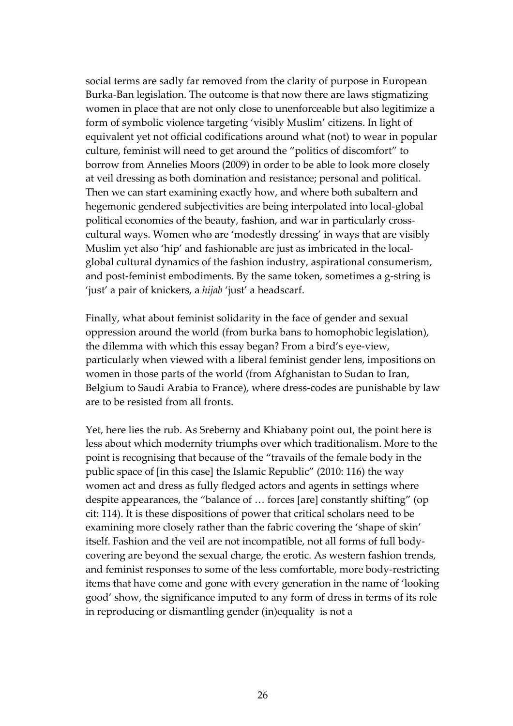social terms are sadly far removed from the clarity of purpose in European Burka‐Ban legislation. The outcome is that now there are laws stigmatizing women in place that are not only close to unenforceable but also legitimize a form of symbolic violence targeting 'visibly Muslim' citizens. In light of equivalent yet not official codifications around what (not) to wear in popular culture, feminist will need to get around the "politics of discomfort" to borrow from Annelies Moors (2009) in order to be able to look more closely at veil dressing as both domination and resistance; personal and political. Then we can start examining exactly how, and where both subaltern and hegemonic gendered subjectivities are being interpolated into local‐global political economies of the beauty, fashion, and war in particularly crosscultural ways. Women who are 'modestly dressing' in ways that are visibly Muslim yet also 'hip' and fashionable are just as imbricated in the localglobal cultural dynamics of the fashion industry, aspirational consumerism, and post-feminist embodiments. By the same token, sometimes a g-string is 'just' a pair of knickers, a *hijab* 'just' a headscarf.

Finally, what about feminist solidarity in the face of gender and sexual oppression around the world (from burka bans to homophobic legislation), the dilemma with which this essay began? From a bird's eye‐view, particularly when viewed with a liberal feminist gender lens, impositions on women in those parts of the world (from Afghanistan to Sudan to Iran, Belgium to Saudi Arabia to France), where dress-codes are punishable by law are to be resisted from all fronts.

Yet, here lies the rub. As Sreberny and Khiabany point out, the point here is less about which modernity triumphs over which traditionalism. More to the point is recognising that because of the "travails of the female body in the public space of [in this case] the Islamic Republic" (2010: 116) the way women act and dress as fully fledged actors and agents in settings where despite appearances, the "balance of … forces [are] constantly shifting" (op cit: 114). It is these dispositions of power that critical scholars need to be examining more closely rather than the fabric covering the 'shape of skin' itself. Fashion and the veil are not incompatible, not all forms of full body‐ covering are beyond the sexual charge, the erotic. As western fashion trends, and feminist responses to some of the less comfortable, more body‐restricting items that have come and gone with every generation in the name of 'looking good' show, the significance imputed to any form of dress in terms of its role in reproducing or dismantling gender (in)equality is not a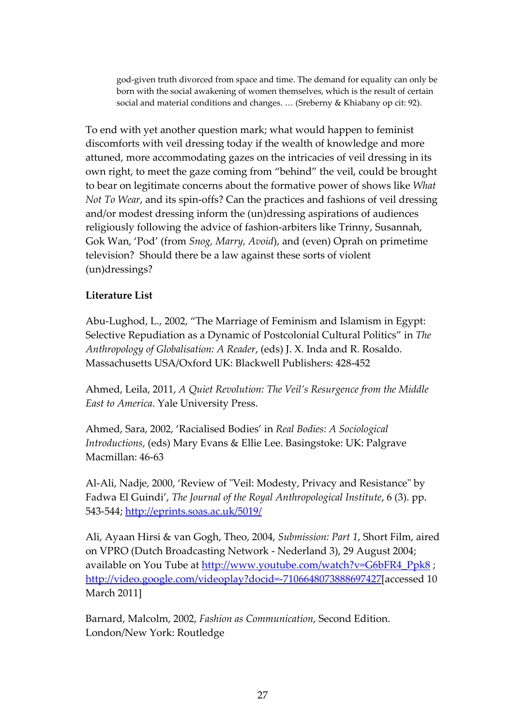god‐given truth divorced from space and time. The demand for equality can only be born with the social awakening of women themselves, which is the result of certain social and material conditions and changes. … (Sreberny & Khiabany op cit: 92).

To end with yet another question mark; what would happen to feminist discomforts with veil dressing today if the wealth of knowledge and more attuned, more accommodating gazes on the intricacies of veil dressing in its own right, to meet the gaze coming from "behind" the veil, could be brought to bear on legitimate concerns about the formative power of shows like *What Not To Wear*, and its spin‐offs? Can the practices and fashions of veil dressing and/or modest dressing inform the (un)dressing aspirations of audiences religiously following the advice of fashion‐arbiters like Trinny, Susannah, Gok Wan, 'Pod' (from *Snog, Marry, Avoid*), and (even) Oprah on primetime television? Should there be a law against these sorts of violent (un)dressings?

# **Literature List**

Abu‐Lughod, L., 2002, "The Marriage of Feminism and Islamism in Egypt: Selective Repudiation as a Dynamic of Postcolonial Cultural Politics" in *The Anthropology of Globalisation: A Reader*, (eds) J. X. Inda and R. Rosaldo. Massachusetts USA/Oxford UK: Blackwell Publishers: 428‐452

Ahmed, Leila, 2011, *A Quiet Revolution: The Veil's Resurgence from the Middle East to America*. Yale University Press.

Ahmed, Sara, 2002, 'Racialised Bodies' in *Real Bodies: A Sociological Introductions*, (eds) Mary Evans & Ellie Lee. Basingstoke: UK: Palgrave Macmillan: 46‐63

Al-Ali, Nadje, 2000, 'Review of "Veil: Modesty, Privacy and Resistance" by Fadwa El Guindi', *The Journal of the Royal Anthropological Institute*, 6 (3). pp. 543‐544; <http://eprints.soas.ac.uk/5019/>

Ali, Ayaan Hirsi & van Gogh, Theo, 2004, *Submission: Part 1*, Short Film, aired on VPRO (Dutch Broadcasting Network ‐ Nederland 3), 29 August 2004; available on You Tube at [http://www.youtube.com/watch?v=G6bFR4\\_Ppk8](http://www.youtube.com/watch?v=G6bFR4_Ppk8) ; [http://video.google.com/videoplay?docid=](http://video.google.com/videoplay?docid=-7106648073888697427)‐7106648073888697427[accessed 10 March 2011]

Barnard, Malcolm, 2002, *Fashion as Communication*, Second Edition. London/New York: Routledge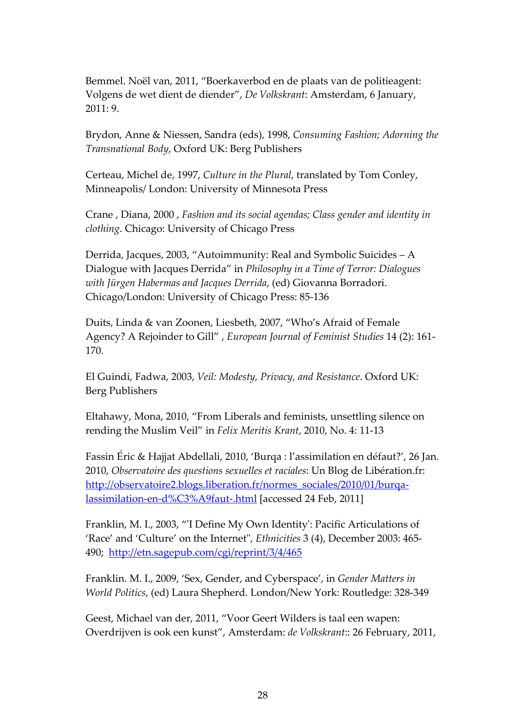Bemmel. Noël van, 2011, "Boerkaverbod en de plaats van de politieagent: Volgens de wet dient de diender", *De Volkskrant*: Amsterdam, 6 January, 2011: 9.

Brydon, Anne & Niessen, Sandra (eds), 1998, *Consuming Fashion; Adorning the Transnational Body*, Oxford UK: Berg Publishers

Certeau, Michel de, 1997, *Culture in the Plural*, translated by Tom Conley, Minneapolis/ London: University of Minnesota Press

Crane , Diana, 2000 , *Fashion and its social agendas; Class gender and identity in clothing*. Chicago: University of Chicago Press

Derrida, Jacques, 2003, "Autoimmunity: Real and Symbolic Suicides – A Dialogue with Jacques Derrida" in *Philosophy in a Time of Terror: Dialogues with Jürgen Habermas and Jacques Derrida*, (ed) Giovanna Borradori. Chicago/London: University of Chicago Press: 85‐136

Duits, Linda & van Zoonen, Liesbeth, 2007, "Who's Afraid of Female Agency? A Rejoinder to Gill" , *European Journal of Feminist Studies* 14 (2): 161‐ 170.

El Guindi, Fadwa, 2003, *Veil: Modesty, Privacy, and Resistance*. Oxford UK: Berg Publishers

Eltahawy, Mona, 2010, "From Liberals and feminists, unsettling silence on rending the Muslim Veil" in *Felix Meritis Krant*, 2010, No. 4: 11‐13

Fassin Éric & Hajjat Abdellali, 2010, 'Burqa : l'assimilation en défaut?', 26 Jan. 2010, *Observatoire des questions sexuelles et raciales*: Un Blog de Libération.fr: [http://observatoire2.blogs.liberation.fr/normes\\_sociales/2010/01/burqa](http://observatoire2.blogs.liberation.fr/normes_sociales/2010/01/burqa-lassimilation-en-d%C3%A9faut-.html)lassimilation‐en‐[d%C3%A9faut](http://observatoire2.blogs.liberation.fr/normes_sociales/2010/01/burqa-lassimilation-en-d%C3%A9faut-.html)‐.html [accessed 24 Feb, 2011]

Franklin, M. I., 2003, "ʹI Define My Own Identityʹ: Pacific Articulations of 'Race' and 'Culture' on the Internet", *Ethnicities* 3 (4), December 2003: 465490; <http://etn.sagepub.com/cgi/reprint/3/4/465>

Franklin. M. I., 2009, 'Sex, Gender, and Cyberspace', in *Gender Matters in World Politics*, (ed) Laura Shepherd. London/New York: Routledge: 328‐349

Geest, Michael van der, 2011, "Voor Geert Wilders is taal een wapen: Overdrijven is ook een kunst", Amsterdam: *de Volkskrant*:: 26 February, 2011,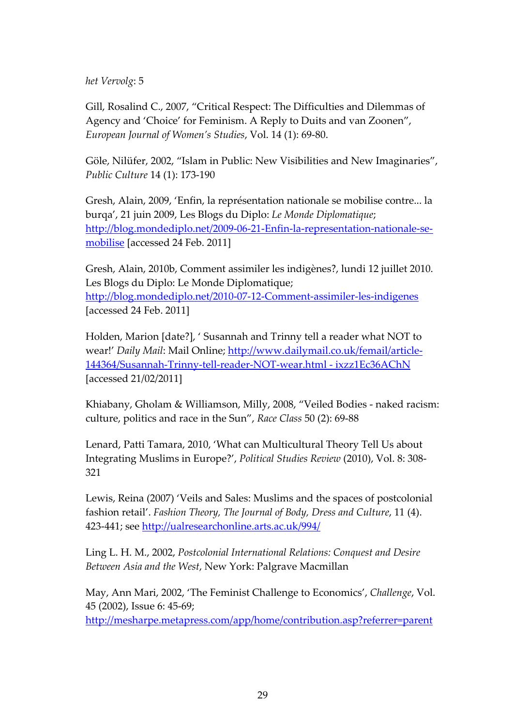*het Vervolg*: 5

Gill, Rosalind C., 2007, "Critical Respect: The Difficulties and Dilemmas of Agency and 'Choice' for Feminism. A Reply to Duits and van Zoonen", *European Journal of Women's Studies*, Vol. 14 (1): 69‐80.

Göle, Nilüfer, 2002, "Islam in Public: New Visibilities and New Imaginaries", *Public Culture* 14 (1): 173‐190

Gresh, Alain, 2009, 'Enfin, la représentation nationale se mobilise contre... la burqa', 21 juin 2009, Les Blogs du Diplo: *Le Monde Diplomatique*; [http://blog.mondediplo.net/2009](http://blog.mondediplo.net/2009-06-21-Enfin-la-representation-nationale-se-mobilise)‐06‐21‐Enfin‐la‐representation‐nationale‐se‐ [mobilise](http://blog.mondediplo.net/2009-06-21-Enfin-la-representation-nationale-se-mobilise) [accessed 24 Feb. 2011]

Gresh, Alain, 2010b, Comment assimiler les indigènes?, lundi 12 juillet 2010. Les Blogs du Diplo: Le Monde Diplomatique; [http://blog.mondediplo.net/2010](http://blog.mondediplo.net/2010-07-12-Comment-assimiler-les-indigenes)‐07‐12‐Comment‐assimiler‐les‐indigenes [accessed 24 Feb. 2011]

Holden, Marion [date?], ' Susannah and Trinny tell a reader what NOT to wear!' *Daily Mail*: Mail Online; http://www.dailymail.co.uk/femail/article‐ 144364/Susannah‐Trinny‐tell‐reader‐NOT‐wear.html ‐ ixzz1Ec36AChN [accessed 21/02/2011]

Khiabany, Gholam & Williamson, Milly, 2008, "Veiled Bodies ‐ naked racism: culture, politics and race in the Sun", *Race Class* 50 (2): 69‐88

Lenard, Patti Tamara, 2010, 'What can Multicultural Theory Tell Us about Integrating Muslims in Europe?', *Political Studies Review* (2010), Vol. 8: 308‐ 321

Lewis, Reina (2007) 'Veils and Sales: Muslims and the spaces of postcolonial fashion retail'. *Fashion Theory, The Journal of Body, Dress and Culture*, 11 (4). 423-441; see <http://ualresearchonline.arts.ac.uk/994/>

Ling L. H. M., 2002, *Postcolonial International Relations: Conquest and Desire Between Asia and the West*, New York: Palgrave Macmillan

May, Ann Mari, 2002, 'The Feminist Challenge to Economics', *Challenge*, Vol. 45 (2002), Issue 6: 45‐69;

[http://mesharpe.metapress.com/app/home/contribution.asp?referrer=parent](http://mesharpe.metapress.com/app/home/contribution.asp?referrer=parent&backto=issue,4,6;journal,50,61;linkingpublicationresults,1:106043,1)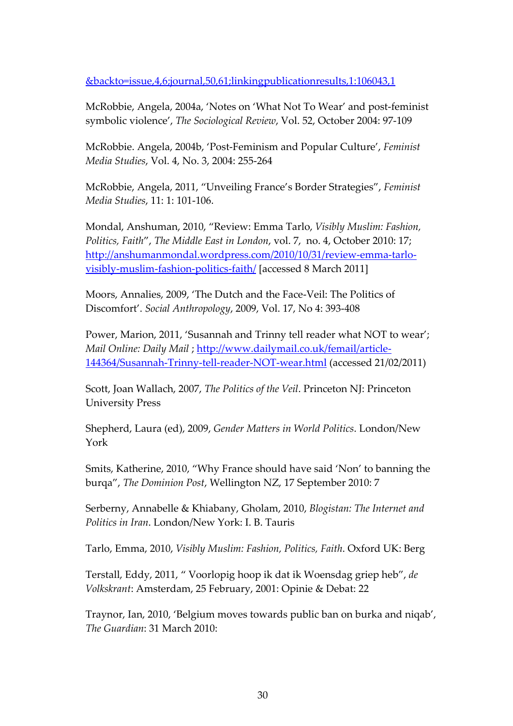&backto=issue,4,6;journal,50,61;linkingpublicationresults,1:106043,1

McRobbie, Angela, 2004a, 'Notes on 'What Not To Wear' and post‐feminist symbolic violence', *The Sociological Review*, Vol. 52, October 2004: 97‐109

McRobbie. Angela, 2004b, 'Post‐Feminism and Popular Culture', *Feminist Media Studies*, Vol. 4, No. 3, 2004: 255‐264

McRobbie, Angela, 2011, "Unveiling France's Border Strategies", *Feminist Media Studies*, 11: 1: 101‐106.

Mondal, Anshuman, 2010, "Review: Emma Tarlo, *Visibly Muslim: Fashion, Politics, Faith*", *The Middle East in London*, vol. 7, no. 4, October 2010: 17; [http://anshumanmondal.wordpress.com/2010/10/31/review](http://anshumanmondal.wordpress.com/2010/10/31/review-emma-tarlo-visibly-muslim-fashion-politics-faith/)-emma-tarlovisibly‐[muslim](http://anshumanmondal.wordpress.com/2010/10/31/review-emma-tarlo-visibly-muslim-fashion-politics-faith/)‐fashion‐politics‐faith/ [accessed 8 March 2011]

Moors, Annalies, 2009, 'The Dutch and the Face‐Veil: The Politics of Discomfort'. *Social Anthropology*, 2009, Vol. 17, No 4: 393‐408

Power, Marion, 2011, 'Susannah and Trinny tell reader what NOT to wear'; *Mail Online: Daily Mail* ; [http://www.dailymail.co.uk/femail/article](http://www.dailymail.co.uk/femail/article-144364/Susannah-Trinny-tell-reader-NOT-wear.html)‐ [144364/Susannah](http://www.dailymail.co.uk/femail/article-144364/Susannah-Trinny-tell-reader-NOT-wear.html)‐Trinny‐tell‐reader‐NOT‐wear.html (accessed 21/02/2011)

Scott, Joan Wallach, 2007, *The Politics of the Veil*. Princeton NJ: Princeton University Press

Shepherd, Laura (ed), 2009, *Gender Matters in World Politics*. London/New York

Smits, Katherine, 2010, "Why France should have said 'Non' to banning the burqa", *The Dominion Post*, Wellington NZ, 17 September 2010: 7

Serberny, Annabelle & Khiabany, Gholam, 2010, *Blogistan: The Internet and Politics in Iran*. London/New York: I. B. Tauris

Tarlo, Emma, 2010, *Visibly Muslim: Fashion, Politics, Faith*. Oxford UK: Berg

Terstall, Eddy, 2011, " Voorlopig hoop ik dat ik Woensdag griep heb", *de Volkskrant*: Amsterdam, 25 February, 2001: Opinie & Debat: 22

Traynor, Ian, 2010, 'Belgium moves towards public ban on burka and niqab', *The Guardian*: 31 March 2010: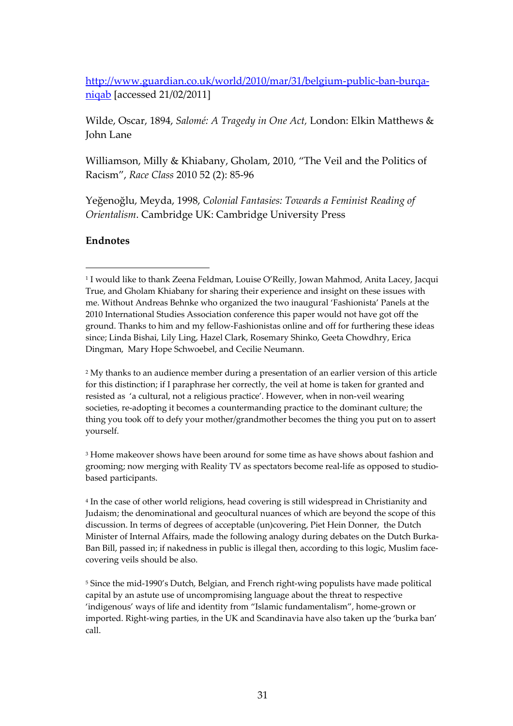[http://www.guardian.co.uk/world/2010/mar/31/belgium](http://www.guardian.co.uk/world/2010/mar/31/belgium-public-ban-burqa-niqab)‐public‐ban‐burqa‐ [niqab](http://www.guardian.co.uk/world/2010/mar/31/belgium-public-ban-burqa-niqab) [accessed 21/02/2011]

Wilde, Oscar, 1894, *Salomé: A Tragedy in One Act,* London: Elkin Matthews & John Lane

Williamson, Milly & Khiabany, Gholam, 2010, "The Veil and the Politics of Racism", *Race Class* 2010 52 (2): 85‐96

Yeğenoğlu, Meyda, 1998, *Colonial Fantasies: Towards a Feminist Reading of Orientalism*. Cambridge UK: Cambridge University Press

# **Endnotes**

<sup>2</sup> My thanks to an audience member during a presentation of an earlier version of this article for this distinction; if I paraphrase her correctly, the veil at home is taken for granted and resisted as 'a cultural, not a religious practice'. However, when in non‐veil wearing societies, re-adopting it becomes a countermanding practice to the dominant culture; the thing you took off to defy your mother/grandmother becomes the thing you put on to assert yourself.

<sup>3</sup> Home makeover shows have been around for some time as have shows about fashion and grooming; now merging with Reality TV as spectators become real-life as opposed to studiobased participants.

<sup>4</sup> In the case of other world religions, head covering is still widespread in Christianity and Judaism; the denominational and geocultural nuances of which are beyond the scope of this discussion. In terms of degrees of acceptable (un)covering, Piet Hein Donner, the Dutch Minister of Internal Affairs, made the following analogy during debates on the Dutch Burka‐ Ban Bill, passed in; if nakedness in public is illegal then, according to this logic, Muslim facecovering veils should be also.

<sup>5</sup> Since the mid‐1990's Dutch, Belgian, and French right‐wing populists have made political capital by an astute use of uncompromising language about the threat to respective 'indigenous' ways of life and identity from "Islamic fundamentalism", home‐grown or imported. Right-wing parties, in the UK and Scandinavia have also taken up the 'burka ban' call.

<sup>1</sup> I would like to thank Zeena Feldman, Louise O'Reilly, Jowan Mahmod, Anita Lacey, Jacqui True, and Gholam Khiabany for sharing their experience and insight on these issues with me. Without Andreas Behnke who organized the two inaugural 'Fashionista' Panels at the 2010 International Studies Association conference this paper would not have got off the ground. Thanks to him and my fellow‐Fashionistas online and off for furthering these ideas since; Linda Bishai, Lily Ling, Hazel Clark, Rosemary Shinko, Geeta Chowdhry, Erica Dingman, Mary Hope Schwoebel, and Cecilie Neumann.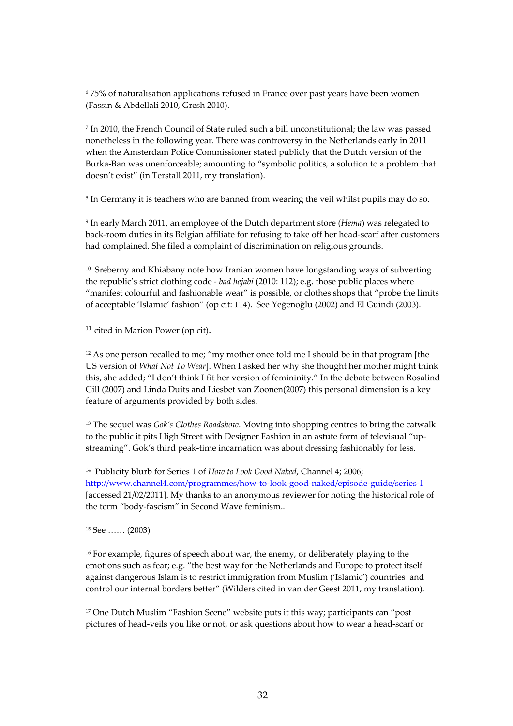<sup>6</sup> 75% of naturalisation applications refused in France over past years have been women (Fassin & Abdellali 2010, Gresh 2010).

<u> 1989 - Jan Samuel Barbara, margaretar a shekara 1989 - Andrea Samuel Barbara, marka 1989 - Andrea Samuel Bar</u>

<sup>7</sup> In 2010, the French Council of State ruled such a bill unconstitutional; the law was passed nonetheless in the following year. There was controversy in the Netherlands early in 2011 when the Amsterdam Police Commissioner stated publicly that the Dutch version of the Burka‐Ban was unenforceable; amounting to "symbolic politics, a solution to a problem that doesn't exist" (in Terstall 2011, my translation).

<sup>8</sup> In Germany it is teachers who are banned from wearing the veil whilst pupils may do so.

<sup>9</sup> In early March 2011, an employee of the Dutch department store (*Hema*) was relegated to back‐room duties in its Belgian affiliate for refusing to take off her head‐scarf after customers had complained. She filed a complaint of discrimination on religious grounds.

<sup>10</sup> Sreberny and Khiabany note how Iranian women have longstanding ways of subverting the republic's strict clothing code ‐ *bad hejabi* (2010: 112); e.g. those public places where "manifest colourful and fashionable wear" is possible, or clothes shops that "probe the limits of acceptable 'Islamic' fashion" (op cit: 114). See Yeğenoğlu (2002) and El Guindi (2003).

 $11$  cited in Marion Power (op cit).

<sup>12</sup> As one person recalled to me; "my mother once told me I should be in that program [the US version of *What Not To Wear*]. When I asked her why she thought her mother might think this, she added; "I don't think I fit her version of femininity." In the debate between Rosalind Gill (2007) and Linda Duits and Liesbet van Zoonen(2007) this personal dimension is a key feature of arguments provided by both sides.

<sup>13</sup> The sequel was *Gok's Clothes Roadshow*. Moving into shopping centres to bring the catwalk to the public it pits High Street with Designer Fashion in an astute form of televisual "upstreaming". Gok's third peak-time incarnation was about dressing fashionably for less.

<sup>14</sup> Publicity blurb for Series 1 of *How to Look Good Naked*, Channel 4; 2006; [http://www.channel4.com/programmes/how](http://www.channel4.com/programmes/how-to-look-good-naked/episode-guide/series-1)‐to‐look‐good‐naked/episode‐guide/series‐1 [accessed 21/02/2011]. My thanks to an anonymous reviewer for noting the historical role of the term "body‐fascism" in Second Wave feminism..

<sup>15</sup> See …… (2003)

<sup>16</sup> For example, figures of speech about war, the enemy, or deliberately playing to the emotions such as fear; e.g. "the best way for the Netherlands and Europe to protect itself against dangerous Islam is to restrict immigration from Muslim ('Islamic') countries and control our internal borders better" (Wilders cited in van der Geest 2011, my translation).

<sup>17</sup> One Dutch Muslim "Fashion Scene" website puts it this way; participants can "post pictures of head‐veils you like or not, or ask questions about how to wear a head‐scarf or